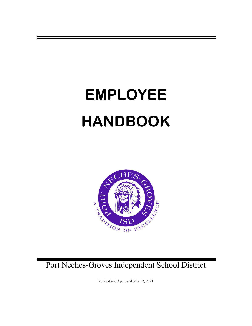# **EMPLOYEE HANDBOOK**



Port Neches-Groves Independent School District

Revised and Approved July 12, 2021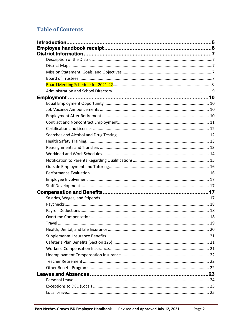# **Table of Contents**

| Travel | 19 |
|--------|----|
|        |    |
|        |    |
|        |    |
|        |    |
|        |    |
|        |    |
|        |    |
|        |    |
|        |    |
|        |    |
|        |    |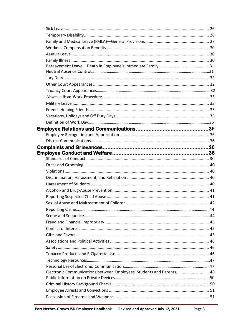| Electronic Communications between Employees, Students and Parents 48 |  |
|----------------------------------------------------------------------|--|
|                                                                      |  |
|                                                                      |  |
|                                                                      |  |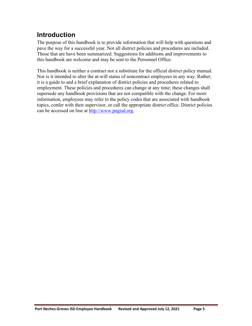# <span id="page-4-0"></span>**Introduction**

The purpose of this handbook is to provide information that will help with questions and pave the way for a successful year. Not all district policies and procedures are included. Those that are have been summarized. Suggestions for additions and improvements to this handbook are welcome and may be sent to the Personnel Office.

This handbook is neither a contract nor a substitute for the official district policy manual. Nor is it intended to alter the at-will status of noncontract employees in any way. Rather, it is a guide to and a brief explanation of district policies and procedures related to employment. These policies and procedures can change at any time; these changes shall supersede any handbook provisions that are not compatible with the change. For more information, employees may refer to the policy codes that are associated with handbook topics, confer with their supervisor, or call the appropriate district office. District policies can be accessed on line at [http://www.pngisd.org.](http://www.pngisd.org/)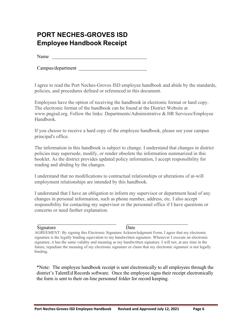# <span id="page-5-0"></span>**PORT NECHES-GROVES ISD Employee Handbook Receipt**

Name

Campus/department

I agree to read the Port Neches-Groves ISD employee handbook and abide by the standards, policies, and procedures defined or referenced in this document.

Employees have the option of receiving the handbook in electronic format or hard copy. The electronic format of the handbook can be found at the District Website at www.pngisd.org. Follow the links: Departments/Administrative & HR Services/Employee Handbook.

If you choose to receive a hard copy of the employee handbook, please see your campus principal's office.

The information in this handbook is subject to change. I understand that changes in district policies may supersede, modify, or render obsolete the information summarized in this booklet. As the district provides updated policy information, I accept responsibility for reading and abiding by the changes.

I understand that no modifications to contractual relationships or alterations of at-will employment relationships are intended by this handbook.

I understand that I have an obligation to inform my supervisor or department head of any changes in personal information, such as phone number, address, etc. I also accept responsibility for contacting my supervisor or the personnel office if I have questions or concerns or need further explanation.

#### Signature Date

AGREEMENT: By signing this Electronic Signature Acknowledgment Form, I agree that my electronic signature is the legally binding equivalent to my handwritten signature. Whenever I execute an electronic signature, it has the same validity and meaning as my handwritten signature. I will not, at any time in the future, repudiate the meaning of my electronic signature or claim that my electronic signature is not legally binding.

\*Note: The employee handbook receipt is sent electronically to all employees through the district's TalentEd Records software. Once the employee signs their receipt electronically the form is sent to their on-line personnel folder for record keeping.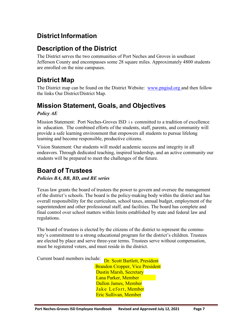# <span id="page-6-1"></span><span id="page-6-0"></span>**District Information**

# **Description of the District**

The District serves the two communities of Port Neches and Groves in southeast Jefferson County and encompasses some 28 square miles. Approximately 4800 students are enrolled on the nine campuses.

# <span id="page-6-2"></span>**District Map**

The District map can be found on the District Website: [www.pngisd.org](http://www.pngisd.org/) and then follow the links Our District/District Map.

# <span id="page-6-3"></span>**Mission Statement, Goals, and Objectives**

#### *Policy AE*

Mission Statement: Port Neches-Groves ISD i s committed to a tradition of excellence in education. The combined efforts of the students, staff, parents, and community will provide a safe learning environment that empowers all students to pursue lifelong learning and become responsible, productive citizens.

Vision Statement: Our students will model academic success and integrity in all endeavors. Through dedicated teaching, inspired leadership, and an active community our students will be prepared to meet the challenges of the future.

# <span id="page-6-4"></span>**Board of Trustees**

#### *Policies BA, BB, BD, and BE series*

Texas law grants the board of trustees the power to govern and oversee the management of the district's schools. The board is the policy-making body within the district and has overall responsibility for the curriculum, school taxes, annual budget, employment of the superintendent and other professional staff, and facilities. The board has complete and final control over school matters within limits established by state and federal law and regulations.

The board of trustees is elected by the citizens of the district to represent the community's commitment to a strong educational program for the district's children. Trustees are elected by place and serve three-year terms. Trustees serve without compensation, must be registered voters, and must reside in the district.

Current board members include: Dr. Scott Bartlett, President

Brandon Cropper, Vice President Dustin Marsh, Secretary Lana Parker, Member Dallon James, Member Jake Lefort, Member Eric Sullivan, Member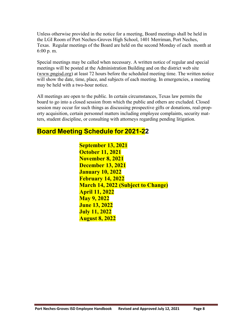Unless otherwise provided in the notice for a meeting, Board meetings shall be held in the LGI Room of Port Neches-Groves High School, 1401 Merriman, Port Neches, Texas. Regular meetings of the Board are held on the second Monday of each month at 6:00 p. m.

Special meetings may be called when necessary. A written notice of regular and special meetings will be posted at the Administration Building and on the district web site [\(www.pngisd.org\)](http://www.pngisd.org/) at least 72 hours before the scheduled meeting time. The written notice will show the date, time, place, and subjects of each meeting. In emergencies, a meeting may be held with a two-hour notice.

All meetings are open to the public. In certain circumstances, Texas law permits the board to go into a closed session from which the public and others are excluded. Closed session may occur for such things as discussing prospective gifts or donations, real-property acquisition, certain personnel matters including employee complaints, security matters, student discipline, or consulting with attorneys regarding pending litigation.

# **Board Meeting Schedule for 2021-22**

**September 13, 2021 October 11, 2021 November 8, 2021 December 13, 2021 January 10, 2022 February 14, 2022 March 14, 2022 (Subject to Change) April 11, 2022 May 9, 2022 June 13, 2022 July 11, 2022 August 8, 2022**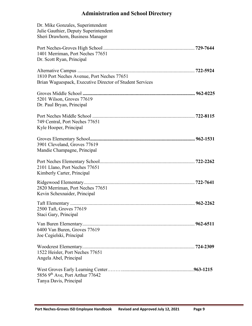# <span id="page-8-0"></span>**Administration and School Directory**

| Dr. Mike Gonzales, Superintendent<br>Julie Gauthier, Deputy Superintendent<br>Sheri Drawhorn, Business Manager |  |
|----------------------------------------------------------------------------------------------------------------|--|
| 1401 Merriman, Port Neches 77651<br>Dr. Scott Ryan, Principal                                                  |  |
| 1810 Port Neches Avenue, Port Neches 77651<br>Brian Waguespack, Executive Director of Student Services         |  |
| 5201 Wilson, Groves 77619<br>Dr. Paul Bryan, Principal                                                         |  |
| 749 Central, Port Neches 77651<br>Kyle Hooper, Principal                                                       |  |
| 3901 Cleveland, Groves 77619<br>Mandie Champagne, Principal                                                    |  |
| 2101 Llano, Port Neches 77651<br>Kimberly Carter, Principal                                                    |  |
| 2820 Merriman, Port Neches 77651<br>Kevin Schexnaider, Principal                                               |  |
| 2500 Taft, Groves 77619<br>Staci Gary, Principal                                                               |  |
| 6400 Van Buren, Groves 77619<br>Joe Cegielski, Principal                                                       |  |
| 1522 Heisler, Port Neches 77651<br>Angela Abel, Principal                                                      |  |
| 5856 $9th$ Ave, Port Arthur 77642<br>Tanya Davis, Principal                                                    |  |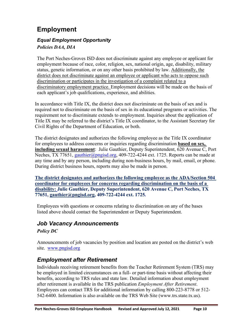# <span id="page-9-0"></span>**Employment**

#### <span id="page-9-1"></span>*Equal Employment Opportunity Policies DAA, DIA*

The Port Neches-Groves ISD does not discriminate against any employee or applicant for employment because of race, color, religion, sex, national origin, age, disability, military status, genetic information, or on any other basis prohibited by law. Additionally, the district does not discriminate against an employee or applicant who acts to oppose such discrimination or participates in the investigation of a complaint related to a discriminatory employment practice. Employment decisions will be made on the basis of each applicant's job qualifications, experience, and abilities.

In accordance with Title IX, the district does not discriminate on the basis of sex and is required not to discriminate on the basis of sex in its educational programs or activities. The requirement not to discriminate extends to employment. Inquiries about the application of Title IX may be referred to the district's Title IX coordinator, to the Assistant Secretary for Civil Rights of the Department of Education, or both.

The district designates and authorizes the following employee as the Title IX coordinator for employees to address concerns or inquiries regarding discrimination **based on sex, including sexual harassment**: Julie Gauthier, Deputy Superintendent, 620 Avenue C, Port Neches, TX 77651, [gauthier@pngisd.org,](mailto:gauthier@pngisd.org) 409-722-4244 ext. 1725. Reports can be made at any time and by any person, including during non-business hours, by mail, email, or phone. During district business hours, reports may also be made in person.

**The district designates and authorizes the following employee as the ADA/Section 504 coordinator for employees for concerns regarding discrimination on the basis of a disability: Julie Gauthier, Deputy Superintendent, 620 Avenue C, Port Neches, TX 77651, [gauthier@pngisd.org,](mailto:gauthier@pngisd.org) 409-722-4244 ext. 1725***.*

Employees with questions or concerns relating to discrimination on any of the bases listed above should contact the Superintendent or Deputy Superintendent.

### <span id="page-9-2"></span>*Job Vacancy Announcements Policy DC*

Announcements of job vacancies by position and location are posted on the district's web site. [www.pngisd.org](http://www.pngisd.org/)

# <span id="page-9-3"></span>*Employment after Retirement*

Individuals receiving retirement benefits from the Teacher Retirement System (TRS) may be employed in limited circumstances on a full- or part-time basis without affecting their benefits, according to TRS rules and state law. Detailed information about employment after retirement is available in the TRS publication *Employment After Retirement*. Employees can contact TRS for additional information by calling 800-223-8778 or 512- 542-6400. Information is also available on the TRS Web Site [\(www.trs.state.tx.us\)](http://www.trs.state.tx.us/).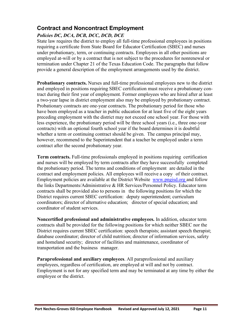### <span id="page-10-0"></span>**Contract and Noncontract Employment**

#### *Policies DC, DCA, DCB, DCC, DCD, DCE*

State law requires the district to employ all full-time professional employees in positions requiring a certificate from State Board for Educator Certification (SBEC) and nurses under probationary, term, or continuing contracts. Employees in all other positions are employed at-will or by a contract that is not subject to the procedures for nonrenewal or termination under Chapter 21 of the Texas Education Code. The paragraphs that follow provide a general description of the employment arrangements used by the district.

**Probationary contracts.** Nurses and full-time professional employees new to the district and employed in positions requiring SBEC certification must receive a probationary contract during their first year of employment. Former employees who are hired after at least a two-year lapse in district employment also may be employed by probationary contract. Probationary contracts are one-year contracts. The probationary period for those who have been employed as a teacher in public education for at least five of the eight years preceding employment with the district may not exceed one school year. For those with less experience, the probationary period will be three school years (i.e., three one-year contracts) with an optional fourth school year if the board determines it is doubtful whether a term or continuing contract should be given. The campus principal may, however, recommend to the Superintendent that a teacher be employed under a term contract after the second probationary year.

**Term contracts.** Full-time professionals employed in positions requiring certification and nurses will be employed by term contracts after they have successfully completed the probationary period. The terms and conditions of employment are detailed in the contract and employment policies. All employees will receive a copy of their contract. Employment policies are available at the District Website [www.pngisd.org](http://www.pngisd.org/) and follow the links Departments/Administrative & HR Services/Personnel Policy. Educator term contracts shall be provided also to persons in the following positions for which the District requires current SBEC certification: deputy superintendent; curriculum coordinators; director of alternative education; director of special education; and coordinator of student services.

**Noncertified professional and administrative employees.** In addition, educator term contracts shall be provided for the following positions for which neither SBEC nor the District requires current SBEC certification: speech therapists; assistant speech therapist; database coordinator; director of child nutrition; director of information services, safety and homeland security; director of facilities and maintenance, coordinator of transportation and the business manager.

**Paraprofessional and auxiliary employees**. All paraprofessional and auxiliary employees, regardless of certification, are employed at will and not by contract. Employment is not for any specified term and may be terminated at any time by either the employee or the district.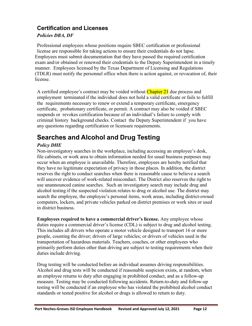### <span id="page-11-0"></span>**Certification and Licenses**

#### *Policies DBA, DF*

Professional employees whose positions require SBEC certification or professional license are responsible for taking actions to ensure their credentials do not lapse. Employees must submit documentation that they have passed the required certification exam and/or obtained or renewed their credentials to the Deputy Superintendent in a timely manner. Employees licensed by the Texas Department of Licensing and Regulations (TDLR) must notify the personnel office when there is action against, or revocation of, their license.

A certified employee's contract may be voided without Chapter 21 due process and employment terminated if the individual does not hold a valid certificate or fails to fulfill the requirements necessary to renew or extend a temporary certificate, emergency certificate, probationary certificate, or permit. A contract may also be voided if SBEC suspends or revokes certification because of an individual's failure to comply with criminal history background checks. Contact the Deputy Superintendent if you have any questions regarding certification or licensure requirements.

# <span id="page-11-1"></span>**Searches and Alcohol and Drug Testing**

#### *Policy DHE*

Non-investigatory searches in the workplace, including accessing an employee's desk, file cabinets, or work area to obtain information needed for usual business purposes may occur when an employee is unavailable. Therefore, employees are hereby notified that they have no legitimate expectation of privacy in those places. In addition, the district reserves the right to conduct searches when there is reasonable cause to believe a search will uncover evidence of work-related misconduct. The District also reserves the right to use unannounced canine searches. Such an investigatory search may include drug and alcohol testing if the suspected violation relates to drug or alcohol use. The district may search the employee, the employee's personal items, work areas, including district-owned computers, lockers, and private vehicles parked on district premises or work sites or used in district business.

**Employees required to have a commercial driver's license.** Any employee whose duties require a commercial driver's license (CDL) is subject to drug and alcohol testing. This includes all drivers who operate a motor vehicle designed to transport 16 or more people, counting the driver; drivers of large vehicles; or drivers of vehicles used in the transportation of hazardous materials. Teachers, coaches, or other employees who primarily perform duties other than driving are subject to testing requirements when their duties include driving.

Drug testing will be conducted before an individual assumes driving responsibilities. Alcohol and drug tests will be conducted if reasonable suspicion exists, at random, when an employee returns to duty after engaging in prohibited conduct, and as a follow-up measure. Testing may be conducted following accidents. Return-to-duty and follow-up testing will be conducted if an employee who has violated the prohibited alcohol conduct standards or tested positive for alcohol or drugs is allowed to return to duty.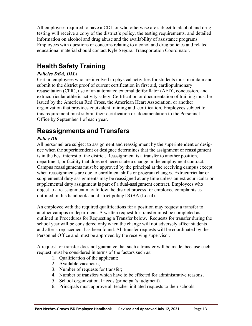All employees required to have a CDL or who otherwise are subject to alcohol and drug testing will receive a copy of the district's policy, the testing requirements, and detailed information on alcohol and drug abuse and the availability of assistance programs. Employees with questions or concerns relating to alcohol and drug policies and related educational material should contact Kyle Segura, Transportation Coordinator.

# <span id="page-12-0"></span>**Health Safety Training**

#### *Policies DBA, DMA*

Certain employees who are involved in physical activities for students must maintain and submit to the district proof of current certification in first aid, cardiopulmonary resuscitation (CPR), use of an automated external defibrillator (AED), concussion, and extracurricular athletic activity safety. Certification or documentation of training must be issued by the American Red Cross, the American Heart Association, or another organization that provides equivalent training and certification. Employees subject to this requirement must submit their certification or documentation to the Personnel Office by September 1 of each year.

# <span id="page-12-1"></span>**Reassignments and Transfers**

#### *Policy DK*

All personnel are subject to assignment and reassignment by the superintendent or designee when the superintendent or designee determines that the assignment or reassignment is in the best interest of the district. Reassignment is a transfer to another position, department, or facility that does not necessitate a change in the employment contract. Campus reassignments must be approved by the principal at the receiving campus except when reassignments are due to enrollment shifts or program changes. Extracurricular or supplemental duty assignments may be reassigned at any time unless an extracurricular or supplemental duty assignment is part of a dual-assignment contract. Employees who object to a reassignment may follow the district process for employee complaints as outlined in this handbook and district policy DGBA (Local).

An employee with the required qualifications for a position may request a transfer to another campus or department. A written request for transfer must be completed as outlined in Procedures for Requesting a Transfer below. Requests for transfer during the school year will be considered only when the change will not adversely affect students and after a replacement has been found. All transfer requests will be coordinated by the Personnel Office and must be approved by the receiving supervisor.

A request for transfer does not guarantee that such a transfer will be made, because each request must be considered in terms of the factors such as:

- 1. Qualification of the applicant;
- 2. Available vacancies;
- 3. Number of requests for transfer;
- 4. Number of transfers which have to be effected for administrative reasons;
- 5. School organizational needs (principal's judgment).
- 6. Principals must approve all teacher-initiated requests to their schools.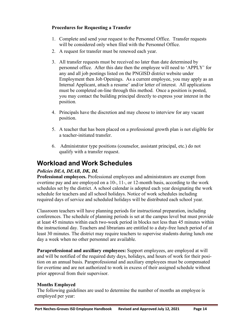#### **Procedures for Requesting a Transfer**

- 1. Complete and send your request to the Personnel Office. Transfer requests will be considered only when filed with the Personnel Office.
- 2. A request for transfer must be renewed each year.
- 3. All transfer requests must be received no later than date determined by personnel office. After this date then the employee will need to 'APPLY' for any and all job postings listed on the PNGISD district website under Employment then Job Openings. As a current employee, you may apply as an Internal Applicant, attach a resume' and/or letter of interest. All applications must be completed on-line through this method. Once a position is posted, you may contact the building principal directly to express your interest in the position.
- 4. Principals have the discretion and may choose to interview for any vacant position.
- 5. A teacher that has been placed on a professional growth plan is not eligible for a teacher-initiated transfer.
- <span id="page-13-0"></span>6. Administrator type positions (counselor, assistant principal, etc.) do not qualify with a transfer request.

# **Workload and Work Schedules**

#### *Policies DEA, DEAB, DK, DL*

**Professional employees.** Professional employees and administrators are exempt from overtime pay and are employed on a 10-, 11-, or 12-month basis, according to the work schedules set by the district. A school calendar is adopted each year designating the work schedule for teachers and all school holidays. Notice of work schedules including required days of service and scheduled holidays will be distributed each school year.

Classroom teachers will have planning periods for instructional preparation, including conferences. The schedule of planning periods is set at the campus level but must provide at least 45 minutes within each two-week period in blocks not less than 45 minutes within the instructional day. Teachers and librarians are entitled to a duty-free lunch period of at least 30 minutes. The district may require teachers to supervise students during lunch one day a week when no other personnel are available.

**Paraprofessional and auxiliary employees:** Support employees, are employed at will and will be notified of the required duty days, holidays, and hours of work for their position on an annual basis. Paraprofessional and auxiliary employees must be compensated for overtime and are not authorized to work in excess of their assigned schedule without prior approval from their supervisor.

#### **Months Employed**

The following guidelines are used to determine the number of months an employee is employed per year: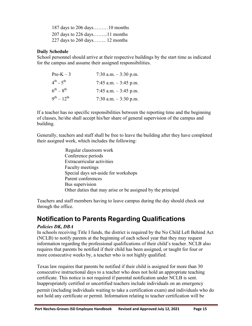187 days to 206 days………10 months 207 days to 226 days……...11 months 227 days to 260 days…….. 12 months

#### **Daily Schedule**

School personnel should arrive at their respective buildings by the start time as indicated for the campus and assume their assigned responsibilities.

| $Pre-K-3$           | 7:30 a.m. $-3:30$ p.m. |
|---------------------|------------------------|
| $4^{th}$ - $5^{th}$ | 7:45 a.m. $-3:45$ p.m. |
| $6^{th} - 8^{th}$   | 7:45 a.m. $-3:45$ p.m. |
| $9^{th} - 12^{th}$  | 7:30 a.m. $-3:30$ p.m. |

If a teacher has no specific responsibilities between the reporting time and the beginning of classes, he/she shall accept his/her share of general supervision of the campus and building.

Generally, teachers and staff shall be free to leave the building after they have completed their assigned work, which includes the following:

> <span id="page-14-0"></span>Regular classroom work Conference periods Extracurricular activities Faculty meetings Special days set-aside for workshops Parent conferences Bus supervision Other duties that may arise or be assigned by the principal

Teachers and staff members having to leave campus during the day should check out through the office.

# **Notification to Parents Regarding Qualifications**

#### *Policies DK, DBA*

In schools receiving Title I funds, the district is required by the No Child Left Behind Act (NCLB) to notify parents at the beginning of each school year that they may request information regarding the professional qualifications of their child's teacher. NCLB also requires that parents be notified if their child has been assigned, or taught for four or more consecutive weeks by, a teacher who is not highly qualified.

Texas law requires that parents be notified if their child is assigned for more than 30 consecutive instructional days to a teacher who does not hold an appropriate teaching certificate. This notice is not required if parental notification under NCLB is sent. Inappropriately certified or uncertified teachers include individuals on an emergency permit (including individuals waiting to take a certification exam) and individuals who do not hold any certificate or permit. Information relating to teacher certification will be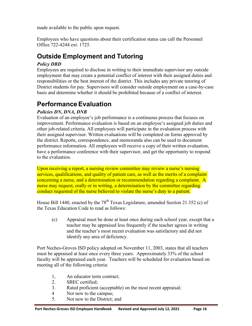made available to the public upon request.

Employees who have questions about their certification status can call the Personnel Office 722-4244 ext. 1725.

# <span id="page-15-0"></span>**Outside Employment and Tutoring**

#### *Policy DBD*

Employees are required to disclose in writing to their immediate supervisor any outside employment that may create a potential conflict of interest with their assigned duties and responsibilities or the best interest of the district. This includes any private tutoring of District students for pay. Supervisors will consider outside employment on a case-by-case basis and determine whether it should be prohibited because of a conflict of interest.

# <span id="page-15-1"></span>**Performance Evaluation**

#### *Policies DN, DNA, DNB*

Evaluation of an employee's job performance is a continuous process that focuses on improvement. Performance evaluation is based on an employee's assigned job duties and other job-related criteria. All employees will participate in the evaluation process with their assigned supervisor. Written evaluations will be completed on forms approved by the district. Reports, correspondence, and memoranda also can be used to document performance information. All employees will receive a copy of their written evaluation, have a performance conference with their supervisor, and get the opportunity to respond to the evaluation.

Upon receiving a report, a nursing review committee may review a nurse's nursing services, qualifications, and quality of patient care, as well as the merits of a complaint concerning a nurse, and a determination or recommendation regarding a complaint. A nurse may request, orally or in writing, a determination by the committee regarding conduct requested of the nurse believed to violate the nurse's duty to a patient.

House Bill 1440, enacted by the  $78<sup>th</sup>$  Texas Legislature, amended Section 21.352 (c) of the Texas Education Code to read as follows:

(c) Appraisal must be done at least once during each school year, except that a teacher may be appraised less frequently if the teacher agrees in writing and the teacher's most recent evaluation was satisfactory and did not identify any area of deficiency.

Port Neches-Groves ISD policy adopted on November 11, 2003, states that all teachers must be appraised at least once every three years. Approximately 33% of the school faculty will be appraised each year. Teachers will be scheduled for evaluation based on meeting all of the following criteria:

- 1, An educator term contract;
- 2. SBEC certified;
- 3. Rated proficient (acceptable) on the most recent appraisal;
- 4 Not new to the campus;
- 5. Not new to the District; and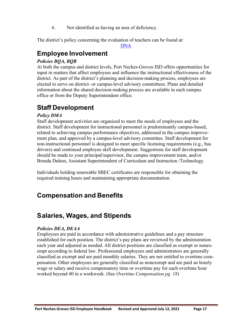6. Not identified as having an area of deficiency.

The district's policy concerning the evaluation of teachers can be found at:

<span id="page-16-0"></span>[DNA](http://pol.tasb.org/Policy/Code/724?filter=DNA)

# **Employee Involvement**

#### *Policies BQA, BQB*

At both the campus and district levels, Port Neches-Groves ISD offers opportunities for input in matters that affect employees and influence the instructional effectiveness of the district. As part of the district's planning and decision-making process, employees are elected to serve on district- or campus-level advisory committees. Plans and detailed information about the shared decision-making process are available in each campus office or from the Deputy Superintendent office.

# <span id="page-16-1"></span>**Staff Development**

#### *Policy DMA*

Staff development activities are organized to meet the needs of employees and the district. Staff development for instructional personnel is predominantly campus-based, related to achieving campus performance objectives, addressed in the campus improvement plan, and approved by a campus-level advisory committee. Staff development for non-instructional personnel is designed to meet specific licensing requirements (e.g., bus drivers) and continued employee skill development. Suggestions for staff development should be made to your principal/supervisor, the campus improvement team, and/or Brenda Duhon, Assistant Superintendent of Curriculum and Instruction /Technology.

<span id="page-16-2"></span>Individuals holding renewable SBEC certificates are responsible for obtaining the required training hours and maintaining appropriate documentation.

# <span id="page-16-3"></span>**Compensation and Benefits**

# **Salaries, Wages, and Stipends**

#### *Policies DEA, DEAA*

Employees are paid in accordance with administrative guidelines and a pay structure established for each position. The district's pay plans are reviewed by the administration each year and adjusted as needed. All district positions are classified as exempt or nonexempt according to federal law. Professional employees and administrators are generally classified as exempt and are paid monthly salaries. They are not entitled to overtime compensation. Other employees are generally classified as nonexempt and are paid an hourly wage or salary and receive compensatory time or overtime pay for each overtime hour worked beyond 40 in a workweek. (See *Overtime Compensation pg. 18*)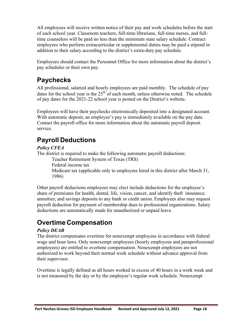All employees will receive written notice of their pay and work schedules before the start of each school year. Classroom teachers, full-time librarians, full-time nurses, and fulltime counselors will be paid no less than the minimum state salary schedule. Contract employees who perform extracurricular or supplemental duties may be paid a stipend in addition to their salary according to the district's extra-duty pay schedule.

Employees should contact the Personnel Office for more information about the district's pay schedules or their own pay.

# <span id="page-17-0"></span>**Paychecks**

All professional, salaried and hourly employees are paid monthly. The schedule of pay dates for the school year is the  $25<sup>th</sup>$  of each month, unless otherwise noted. The schedule of pay dates for the 2021-22 school year is posted on the District's website.

Employees will have their paychecks electronically deposited into a designated account. With automatic deposit, an employee's pay is immediately available on the pay date. Contact the payroll office for more information about the automatic payroll deposit service.

# **Payroll Deductions**

#### *Policy CFEA*

The district is required to make the following automatic payroll deductions:

<span id="page-17-1"></span>Teacher Retirement System of Texas (TRS) Federal income tax Medicare tax (applicable only to employees hired in this district after March 31, 1986)

Other payroll deductions employees may elect include deductions for the employee's share of premiums for health, dental, life, vision, cancer, and identify theft insurance; annuities; and savings deposits to any bank or credit union. Employees also may request payroll deduction for payment of membership dues to professional organizations. Salary deductions are automatically made for unauthorized or unpaid leave.

# <span id="page-17-2"></span>**Overtime Compensation**

#### *Policy DEAB*

The district compensates overtime for nonexempt employees in accordance with federal wage and hour laws. Only nonexempt employees (hourly employees and paraprofessional employees) are entitled to overtime compensation. Nonexempt employees are not authorized to work beyond their normal work schedule without advance approval from their supervisor.

Overtime is legally defined as all hours worked in excess of 40 hours in a work week and is not measured by the day or by the employee's regular work schedule. Nonexempt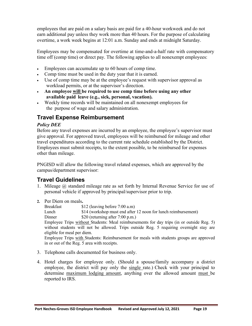employees that are paid on a salary basis are paid for a 40-hour workweek and do not earn additional pay unless they work more than 40 hours. For the purpose of calculating overtime, a work week begins at 12:01 a.m. Sunday and ends at midnight Saturday.

Employees may be compensated for overtime at time-and-a-half rate with compensatory time off (comp time) or direct pay. The following applies to all nonexempt employees:

- Employees can accumulate up to 60 hours of comp time.
- Comp time must be used in the duty year that it is earned.
- Use of comp time may be at the employee's request with supervisor approval as workload permits, or at the supervisor's direction.
- **An employee will be required to use comp time before using any other available paid leave (e.g., sick, personal, vacation).**
- Weekly time records will be maintained on all nonexempt employees for the purpose of wage and salary administration.

### <span id="page-18-0"></span>**Travel Expense Reimbursement**

#### *Policy DEE*

Before any travel expenses are incurred by an employee, the employee's supervisor must give approval. For approved travel, employees will be reimbursed for mileage and other travel expenditures according to the current rate schedule established by the District. Employees must submit receipts, to the extent possible, to be reimbursed for expenses other than mileage.

PNGISD will allow the following travel related expenses, which are approved by the campus/department supervisor:

# **Travel Guidelines**

- 1. Mileage @ standard mileage rate as set forth by Internal Revenue Service for use of personal vehicle if approved by principal/supervisor prior to trip.
- **2.** Per Diem on meals**.**

Breakfast \$12 (leaving before 7:00 a.m)

Lunch \$14 (workshop must end after 12 noon for lunch reimbursement)

Dinner \$20 (returning after 7:00 p.m.)

Employee Trips without Students: Meal reimbursements for day trips (in or outside Reg. 5) without students will not be allowed. Trips outside Reg. 5 requiring overnight stay are eligible for meal per diem.

Employee Trips with Students: Reimbursement for meals with students groups are approved in or out of the Reg. 5 area with receipts.

- 3. Telephone calls documented for business only.
- 4. Hotel charges for employee only. (Should a spouse/family accompany a district employee, the district will pay only the single rate.) Check with your principal to determine maximum lodging amount, anything over the allowed amount must be reported to IRS.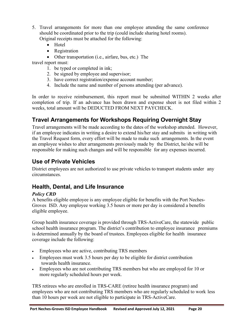- 5. Travel arrangements for more than one employee attending the same conference should be coordinated prior to the trip (could include sharing hotel rooms). Original receipts must be attached for the following:
	- Hotel
	- Registration
	- Other transportation (i.e., airfare, bus, etc.) The

travel report must:

- 1. be typed or completed in ink;
- 2. be signed by employee and supervisor;
- 3. have correct registration/expense account number;
- 4. Include the name and number of persons attending (per advance).

In order to receive reimbursement, this report must be submitted WITHIN 2 weeks after completion of trip. If an advance has been drawn and expense sheet is not filed within 2 weeks, total amount will be DEDUCTED FROM NEXT PAYCHECK.

### **Travel Arrangements for Workshops Requiring Overnight Stay**

Travel arrangements will be made according to the dates of the workshop attended. However, if an employee indicates in writing a desire to extend his/her stay and submits in writing with the Travel Request form, every effort will be made to make such arrangements. In the event an employee wishes to alter arrangements previously made by the District, he/she will be responsible for making such changes and will be responsible for any expenses incurred.

### **Use of Private Vehicles**

District employees are not authorized to use private vehicles to transport students under any circumstances.

### <span id="page-19-0"></span>**Health, Dental, and Life Insurance**

#### *Policy CRD*

A benefits eligible employee is any employee eligible for benefits with the Port Neches-Groves ISD. Any employee working 3.5 hours or more per day is considered a benefits eligible employee.

Group health insurance coverage is provided through TRS-ActiveCare, the statewide public school health insurance program. The district's contribution to employee insurance premiums is determined annually by the board of trustees. Employees eligible for health insurance coverage include the following:

- Employees who are active, contributing TRS members
- Employees must work 3.5 hours per day to be eligible for district contribution towards health insurance.
- Employees who are not contributing TRS members but who are employed for 10 or more regularly scheduled hours per week.

TRS retirees who are enrolled in TRS-CARE (retiree health insurance program) and employees who are not contributing TRS members who are regularly scheduled to work less than 10 hours per week are not eligible to participate in TRS-ActiveCare.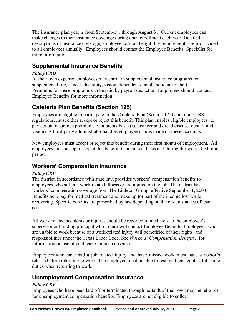The insurance plan year is from September 1 through August 31. Current employees can make changes in their insurance coverage during open enrollment each year. Detailed descriptions of insurance coverage, employee cost, and eligibility requirements are pro- vided to all employees annually. Employees should contact the Employee Benefits Specialist for more information.

# <span id="page-20-0"></span>**Supplemental Insurance Benefits**

#### *Policy CRD*

At their own expense, employees may enroll in supplemental insurance programs for supplemental life, cancer, disability, vision, dependent dental and identify theft. Premiums for these programs can be paid by payroll deduction. Employees should contact Employee Benefits for more information.

# <span id="page-20-1"></span>**Cafeteria Plan Benefits (Section 125)**

Employees are eligible to participate in the Cafeteria Plan (Section 125) and, under IRS regulations, must either accept or reject this benefit. This plan enables eligible employees to pay certain insurance premiums on a pretax basis (i.e., cancer and dread disease, dental and vision). A third-party administrator handles employee claims made on these accounts.

New employees must accept or reject this benefit during their first month of employment. All employees must accept or reject this benefit on an annual basis and during the speci- fied time period.

### <span id="page-20-2"></span>**Workers' Compensation Insurance**

#### *Policy CRE*

The district, in accordance with state law, provides workers' compensation benefits to employees who suffer a work-related illness or are injured on the job. The district has workers' compensation coverage from The Littleton Group, effective September 1, 2003. Benefits help pay for medical treatment and make up for part of the income lost while recovering. Specific benefits are prescribed by law depending on the circumstances of each case.

All work-related accidents or injuries should be reported immediately to the employee's supervisor or building principal who in turn will contact Employee Benefits. Employees who are unable to work because of a work-related injury will be notified of their rights and responsibilities under the Texas Labor Code. See *Workers' Compensation Benefits*, for information on use of paid leave for such absences.

Employees who have had a job related injury and have missed work must have a doctor's release before returning to work. The employee must be able to resume their regular, full time duties when returning to work.

### <span id="page-20-3"></span>**Unemployment Compensation Insurance**

#### *Policy CRF*

Employees who have been laid off or terminated through no fault of their own may be eligible for unemployment compensation benefits. Employees are not eligible to collect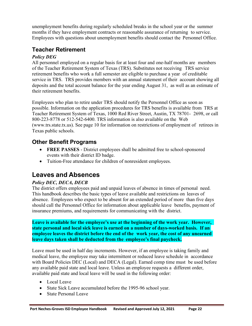unemployment benefits during regularly scheduled breaks in the school year or the summer months if they have employment contracts or reasonable assurance of returning to service. Employees with questions about unemployment benefits should contact the Personnel Office.

### <span id="page-21-0"></span>**Teacher Retirement**

#### *Policy DEG*

All personnel employed on a regular basis for at least four and one-half months are members of the Teacher Retirement System of Texas (TRS). Substitutes not receiving TRS service retirement benefits who work a full semester are eligible to purchase a year of creditable service in TRS. TRS provides members with an annual statement of their account showing all deposits and the total account balance for the year ending August 31, as well as an estimate of their retirement benefits.

Employees who plan to retire under TRS should notify the Personnel Office as soon as possible. Information on the application procedures for TRS benefits is available from TRS at Teacher Retirement System of Texas, 1000 Red River Street, Austin, TX 78701- 2698, or call 800-223-8778 or 512-542-6400. TRS information is also available on the Web (www.trs.state.tx.us). See page 10 for information on restrictions of employment of retirees in Texas public schools.

# **Other Benefit Programs**

- <span id="page-21-1"></span>• **FREE PASSES** - District employees shall be admitted free to school-sponsored events with their district ID badge.
- <span id="page-21-2"></span>• Tuition-Free attendance for children of nonresident employees.

# **Leaves and Absences**

#### *Policy DEC, DECA, DECB*

The district offers employees paid and unpaid leaves of absence in times of personal need. This handbook describes the basic types of leave available and restrictions on leaves of absence. Employees who expect to be absent for an extended period of more than five days should call the Personnel Office for information about applicable leave benefits, payment of insurance premiums, and requirements for communicating with the district.

**Leave is available for the employee's use at the beginning of the work year. However, state personal and local sick leave is earned on a number of days-worked basis. If an employee leaves the district before the end of the work year, the cost of any unearned leave days taken shall be deducted from the employee's final paycheck.**

Leave must be used in half day increments. However, if an employee is taking family and medical leave, the employee may take intermittent or reduced leave schedule in accordance with Board Policies DEC (Local) and DECA (Legal). Earned comp time must be used before any available paid state and local leave. Unless an employee requests a different order, available paid state and local leave will be used in the following order:

- Local Leave
- State Sick Leave accumulated before the 1995-96 school year.
- State Personal Leave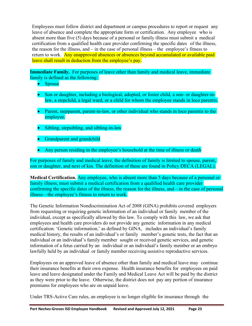Employees must follow district and department or campus procedures to report or request any leave of absence and complete the appropriate form or certification. Any employee who is absent more than five (5) days because of a personal or family illness must submit a medical certification from a qualified health care provider confirming the specific dates of the illness, the reason for the illness, and – in the case of personal illness – the employee's fitness to return to work. Any unapproved absences or absences beyond accumulated or available paid leave shall result in deduction from the employee's pay.

**Immediate Family.** For purposes of leave other than family and medical leave, immediate family is defined as the following:

- Spouse
- Son or daughter, including a biological, adopted, or foster child, a son- or daughter-inlaw, a stepchild, a legal ward, or a child for whom the employee stands in loco parentis.
- Parent, stepparent, parent-in-law, or other individual who stands in loco parentis to the employee.
- Sibling, stepsibling, and sibling-in-law
- Grandparent and grandchild
- Any person residing in the employee's household at the time of illness or death

For purposes of family and medical leave, the definition of family is limited to spouse, parent, son or daughter, and next of kin. The definition of these are found in Policy DECA (LEGAL).

**Medical Certification.** Any employee, who is absent more than 5 days because of a personal or family illness, must submit a medical certification from a qualified health care provider confirming the specific dates of the illness, the reason for the illness, and—in the case of personal illness—the employee's fitness to return to work.

The Genetic Information Nondiscrimination Act of 2008 (GINA) prohibits covered employers from requesting or requiring genetic information of an individual or family member of the individual, except as specifically allowed by this law. To comply with this law, we ask that employees and health care providers do not provide any genetic information in any medical certification. 'Genetic information,' as defined by GINA, includes an individual's family medical history, the results of an individual's or family member's genetic tests, the fact that an individual or an individual's family member sought or received genetic services, and genetic information of a fetus carried by an individual or an individual's family member or an embryo lawfully held by an individual or family member receiving assistive reproductive services.

Employees on an approved leave of absence other than family and medical leave may continue their insurance benefits at their own expense. Health insurance benefits for employees on paid leave and leave designated under the Family and Medical Leave Act will be paid by the district as they were prior to the leave. Otherwise, the district does not pay any portion of insurance premiums for employees who are on unpaid leave.

Under TRS-Active Care rules, an employee is no longer eligible for insurance through the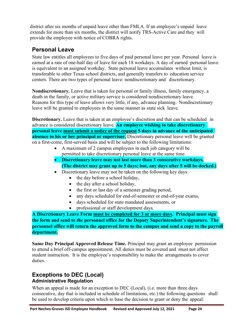district after six months of unpaid leave other than FMLA. If an employee's unpaid leave extends for more than six months, the district will notify TRS-Active Care and they will provide the employee with notice of COBRA rights.

### <span id="page-23-0"></span>**Personal Leave**

State law entitles all employees to five days of paid personal leave per year. Personal leave is earned at a rate of one-half day of leave for each 18 workdays. A day of earned personal leave is equivalent to an assigned workday. State personal leave accumulates without limit, is transferable to other Texas school districts, and generally transfers to education service centers. There are two types of personal leave: nondiscretionary and discretionary.

**Nondiscretionary.** Leave that is taken for personal or family illness, family emergency, a death in the family, or active military service is considered nondiscretionary leave. Reasons for this type of leave allows very little, if any, advance planning. Nondiscretionary leave will be granted to employees in the same manner as state sick leave.

**Discretionary.** Leave that is taken at an employee's discretion and that can be scheduled in advance is considered discretionary leave. **An employee wishing to take discretionary personal leave must submit a notice of the request 5 days in advance of the anticipated absence to his or her principal or supervisor.** Discretionary personal leave will be granted on a first-come, first-served basis and will be subject to the following limitations:

- A maximum of 2 campus employees in each job category will be permitted to take discretionary personal leave at the same time.
- **Discretionary leave may not last more than 3 consecutive workdays. (The district may grant up to 5 days; but, any days after 5 will be docked.)**
- Discretionary leave may not be taken on the following key days:
	- the day before a school holiday,
	- the day after a school holiday,
	- the first or last day of a semester grading period,
	- any days scheduled for end-of-semester or end-of-year exams,
	- days scheduled for state mandated assessments, or
	- professional or staff development days.

**A Discretionary Leave Form must be completed for 3 or more days. Principal must sign the form and send to the personnel office for the Deputy Superintendent's signature. The personnel office will return the approved form to the campus and send a copy to the payroll department.**

**Same Day Principal Approved Release Time.** Principal may grant an employee permission to attend a brief off-campus appointment. All duties must be covered and must not affect student instruction. It is the employee's responsibility to make the arrangements to cover duties.

### <span id="page-23-1"></span>**Exceptions to DEC (Local) Administrative Regulation**

When an appeal is made for an exception to DEC (Local), (i.e. more than three days consecutive, day that is included in schedule of limitations, etc.) the following questions shall be used to develop criteria upon which to base the decision to grant or deny the appeal: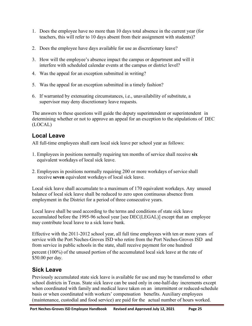- 1. Does the employee have no more than 10 days total absence in the current year (for teachers, this will refer to 10 days absent from their assignment with students)?
- 2. Does the employee have days available for use as discretionary leave?
- 3. How will the employee's absence impact the campus or department and will it interfere with scheduled calendar events at the campus or district level?
- 4. Was the appeal for an exception submitted in writing?
- 5. Was the appeal for an exception submitted in a timely fashion?
- 6. If warranted by extenuating circumstances, i.e., unavailability of substitute, a supervisor may deny discretionary leave requests.

The answers to these questions will guide the deputy superintendent or superintendent in determining whether or not to approve an appeal for an exception to the stipulations of DEC (LOCAL)

### <span id="page-24-0"></span>**Local Leave**

All full-time employees shall earn local sick leave per school year as follows:

- 1. Employees in positions normally requiring ten months of service shall receive **six** equivalent workdays of local sick leave.
- 2. Employees in positions normally requiring 200 or more workdays of service shall receive **seven** equivalent workdays of local sick leave.

Local sick leave shall accumulate to a maximum of 170 equivalent workdays. Any unused balance of local sick leave shall be reduced to zero upon continuous absence from employment in the District for a period of three consecutive years.

Local leave shall be used according to the terms and conditions of state sick leave accumulated before the 1995-96 school year [see DEC(LEGAL)] except that an employee may contribute local leave to a sick leave bank.

Effective with the 2011-2012 school year, all full time employees with ten or more years of service with the Port Neches-Groves ISD who retire from the Port Neches-Groves ISD and from service in public schools in the state, shall receive payment for one hundred percent (100%) of the unused portion of the accumulated local sick leave at the rate of \$50.00 per day.

### <span id="page-24-1"></span>**Sick Leave**

Previously accumulated state sick leave is available for use and may be transferred to other school districts in Texas. State sick leave can be used only in one-half-day increments except when coordinated with family and medical leave taken on an intermittent or reduced-schedule basis or when coordinated with workers' compensation benefits. Auxiliary employees (maintenance, custodial and food service) are paid for the actual number of hours worked.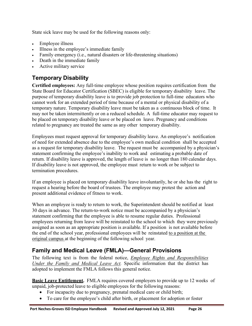State sick leave may be used for the following reasons only:

- Employee illness
- Illness in the employee's immediate family
- Family emergency (i.e., natural disasters or life-threatening situations)
- Death in the immediate family
- Active military service

# <span id="page-25-0"></span>**Temporary Disability**

**Certified employees:** Any full-time employee whose position requires certification from the State Board for Educator Certification (SBEC) is eligible for temporary disability leave. The purpose of temporary disability leave is to provide job protection to full-time educators who cannot work for an extended period of time because of a mental or physical disability of a temporary nature. Temporary disability leave must be taken as a continuous block of time. It may not be taken intermittently or on a reduced schedule. A full-time educator may request to be placed on temporary disability leave or be placed on leave. Pregnancy and conditions related to pregnancy are treated the same as any other temporary disability.

Employees must request approval for temporary disability leave. An employee's notification of need for extended absence due to the employee's own medical condition shall be accepted as a request for temporary disability leave. The request must be accompanied by a physician's statement confirming the employee's inability to work and estimating a probable date of return. If disability leave is approved, the length of leave is no longer than 180 calendar days. If disability leave is not approved, the employee must return to work or be subject to termination procedures.

If an employee is placed on temporary disability leave involuntarily, he or she has the right to request a hearing before the board of trustees. The employee may protest the action and present additional evidence of fitness to work.

When an employee is ready to return to work, the Superintendent should be notified at least 30 days in advance. The return-to-work notice must be accompanied by a physician's statement confirming that the employee is able to resume regular duties. Professional employees returning from leave will be reinstated to the school to which they were previously assigned as soon as an appropriate position is available. If a position is not available before the end of the school year, professional employees will be reinstated to a position at the original campus at the beginning of the following school year.

# **Family and Medical Leave (FMLA)—General Provisions**

The following text is from the federal notice, *Employee Rights and Responsibilities Under the Family and Medical Leave Act.* Specific information that the district has adopted to implement the FMLA follows this general notice.

**Basic Leave Entitlement.** FMLA requires covered employers to provide up to 12 weeks of unpaid, job-protected leave to eligible employees for the following reasons:

- <span id="page-25-1"></span>• For incapacity due to pregnancy, prenatal medical care or child birth;
- To care for the employee's child after birth, or placement for adoption or foster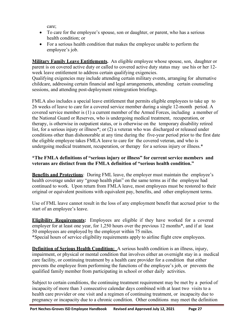care;

- To care for the employee's spouse, son or daughter, or parent, who has a serious health condition; or
- For a serious health condition that makes the employee unable to perform the employee's job.

**Military Family Leave Entitlements.** An eligible employee whose spouse, son, daughter or parent is on covered active duty or called to covered active duty status may use his or her 12 week leave entitlement to address certain qualifying exigencies.

Qualifying exigencies may include attending certain military events, arranging for alternative childcare, addressing certain financial and legal arrangements, attending certain counseling sessions, and attending post-deployment reintegration briefings.

FMLA also includes a special leave entitlement that permits eligible employees to take up to 26 weeks of leave to care for a covered service member during a single 12-month period. A covered service member is (1) a current member of the Armed Forces, including a member of the National Guard or Reserves, who is undergoing medical treatment, recuperation, or therapy, is otherwise in outpatient status, or is otherwise on the temporary disability retired list, for a serious injury or illness<sup>\*</sup>; or (2) a veteran who was discharged or released under conditions other than dishonorable at any time during the five-year period prior to the first date the eligible employee takes FMLA leave to care for the covered veteran, and who is undergoing medical treatment, recuperation, or therapy for a serious injury or illness.\*

#### **\*The FMLA definitions of "serious injury or illness" for current service members and veterans are distinct from the FMLA definition of "serious health condition."**

**Benefits and Protections**: During FML leave, the employer must maintain the employee's health coverage under any "group health plan" on the same terms as if the employee had continued to work. Upon return from FMLA leave, most employees must be restored to their original or equivalent positions with equivalent pay, benefits, and other employment terms.

Use of FML leave cannot result in the loss of any employment benefit that accrued prior to the start of an employee's leave.

**Eligibility Requirements:** Employees are eligible if they have worked for a covered employer for at least one year, for 1,250 hours over the previous 12 months\*, and if at least 50 employees are employed by the employer within 75 miles.

\*Special hours of service eligibility requirements apply to airline flight crew employees.

**Definition of Serious Health Condition:** A serious health condition is an illness, injury, impairment, or physical or mental condition that involves either an overnight stay in a medical care facility, or continuing treatment by a health care provider for a condition that either prevents the employee from performing the functions of the employee's job, or prevents the qualified family member from participating in school or other daily activities.

Subject to certain conditions, the continuing treatment requirement may be met by a period of incapacity of more than 3 consecutive calendar days combined with at least two visits to a health care provider or one visit and a regimen of continuing treatment, or incapacity due to pregnancy or incapacity due to a chronic condition. Other conditions may meet the definition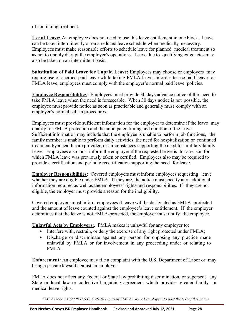of continuing treatment.

**Use of Leave:** An employee does not need to use this leave entitlement in one block. Leave can be taken intermittently or on a reduced leave schedule when medically necessary. Employees must make reasonable efforts to schedule leave for planned medical treatment so as not to unduly disrupt the employer's operations. Leave due to qualifying exigencies may also be taken on an intermittent basis.

**Substitution of Paid Leave for Unpaid Leave:** Employees may choose or employers may require use of accrued paid leave while taking FMLA leave. In order to use paid leave for FMLA leave, employees must comply with the employer's normal paid leave policies.

**Employee Responsibilities**: Employees must provide 30 days advance notice of the need to take FMLA leave when the need is foreseeable. When 30 days notice is not possible, the employee must provide notice as soon as practicable and generally must comply with an employer's normal call-in procedures.

Employees must provide sufficient information for the employer to determine if the leave may qualify for FMLA protection and the anticipated timing and duration of the leave. Sufficient information may include that the employee is unable to perform job functions, the family member is unable to perform daily activities, the need for hospitalization or continued treatment by a health care provider, or circumstances supporting the need for military family leave. Employees also must inform the employer if the requested leave is for a reason for which FMLA leave was previously taken or certified. Employees also may be required to provide a certification and periodic recertification supporting the need for leave.

**Employer Responsibilities:** Covered employers must inform employees requesting leave whether they are eligible under FMLA. If they are, the notice must specify any additional information required as well as the employees' rights and responsibilities. If they are not eligible, the employer must provide a reason for the ineligibility.

Covered employers must inform employees if leave will be designated as FMLA protected and the amount of leave counted against the employee's leave entitlement. If the employer determines that the leave is not FMLA-protected, the employer must notify the employee.

**Unlawful Acts by Employers:.** FMLA makes it unlawful for any employer to:

- Interfere with, restrain, or deny the exercise of any right protected under FMLA;
- Discharge or discriminate against any person for opposing any practice made unlawful by FMLA or for involvement in any proceeding under or relating to FMLA.

**Enforcement:** An employee may file a complaint with the U.S. Department of Labor or may bring a private lawsuit against an employer.

FMLA does not affect any Federal or State law prohibiting discrimination, or supersede any State or local law or collective bargaining agreement which provides greater family or medical leave rights.

FMLA section 109 (29 U.S.C.  $\S$  2619) required FMLA covered employers to post the text of this notice.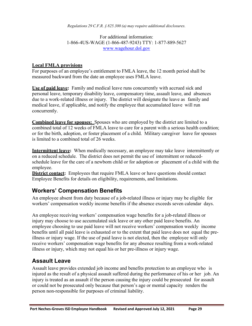*Regulations 29 C.F.R. § 825.300 (a) may require additional disclosures.*

For additional information: 1-866-4US-WAGE (1-866-487-9243) TTY: 1-877-889-5627 [www.wagehour.dol.gov](http://www.wagehour.dol.gov/)

#### **Local FMLA provisions**

For purposes of an employee's entitlement to FMLA leave, the 12 month period shall be measured backward from the date an employee uses FMLA leave.

**Use of paid leave:** Family and medical leave runs concurrently with accrued sick and personal leave, temporary disability leave, compensatory time, assault leave, and absences due to a work-related illness or injury. The district will designate the leave as family and medical leave, if applicable, and notify the employee that accumulated leave will run concurrently.

**Combined leave for spouses:** Spouses who are employed by the district are limited to a combined total of 12 weeks of FMLA leave to care for a parent with a serious health condition; or for the birth, adoption, or foster placement of a child. Military caregiver leave for spouses is limited to a combined total of 26 weeks.

**Intermittent leave:** When medically necessary, an employee may take leave intermittently or on a reduced schedule. The district does not permit the use of intermittent or reducedschedule leave for the care of a newborn child or for adoption or placement of a child with the employee.

**District contact:** Employees that require FMLA leave or have questions should contact Employee Benefits for details on eligibility, requirements, and limitations.

### <span id="page-28-0"></span>**Workers' Compensation Benefits**

An employee absent from duty because of a job-related illness or injury may be eligible for workers' compensation weekly income benefits if the absence exceeds seven calendar days.

An employee receiving workers' compensation wage benefits for a job-related illness or injury may choose to use accumulated sick leave or any other paid leave benefits. An employee choosing to use paid leave will not receive workers' compensation weekly income benefits until all paid leave is exhausted or to the extent that paid leave does not equal the preillness or injury wage. If the use of paid leave is not elected, then the employee will only receive workers' compensation wage benefits for any absence resulting from a work-related illness or injury, which may not equal his or her pre-illness or injury wage.

### <span id="page-28-1"></span>**Assault Leave**

Assault leave provides extended job income and benefits protection to an employee who is injured as the result of a physical assault suffered during the performance of his or her job. An injury is treated as an assault if the person causing the injury could be prosecuted for assault or could not be prosecuted only because that person's age or mental capacity renders the person non-responsible for purposes of criminal liability.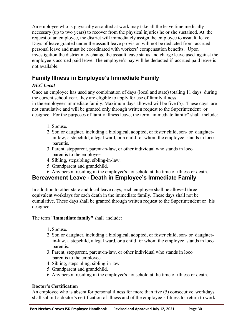An employee who is physically assaulted at work may take all the leave time medically necessary (up to two years) to recover from the physical injuries he or she sustained. At the request of an employee, the district will immediately assign the employee to assault leave. Days of leave granted under the assault leave provision will not be deducted from accrued personal leave and must be coordinated with workers' compensation benefits. Upon investigation the district may change the assault leave status and charge leave used against the employee's accrued paid leave. The employee's pay will be deducted if accrued paid leave is not available.

# **Family Illness in Employee's Immediate Family**

#### *DEC Local*

Once an employee has used any combination of days (local and state) totaling 11 days during the current school year, they are eligible to apply for use of family illness in the employee's immediate family. Maximum days allowed will be five (5). These days are not cumulative and will be granted only through written request to the Superintendent or designee. For the purposes of family illness leave, the term "immediate family" shall include:

- <span id="page-29-0"></span>1. Spouse.
- 2. Son or daughter, including a biological, adopted, or foster child, son- or daughterin-law, a stepchild, a legal ward, or a child for whom the employee stands in loco parentis.
- 3. Parent, stepparent, parent-in-law, or other individual who stands in loco parentis to the employee.
- 4. Sibling, stepsibling, sibling-in-law.
- 5. Grandparent and grandchild.
- 6. Any person residing in the employee's household at the time of illness or death.

# **Bereavement Leave - Death in Employee's Immediate Family**

In addition to other state and local leave days, each employee shall be allowed three equivalent workdays for each death in the immediate family. These days shall not be cumulative. These days shall be granted through written request to the Superintendent or his designee.

The term **"immediate family"** shall include:

1.Spouse.

- 2. Son or daughter, including a biological, adopted, or foster child, son- or daughterin-law, a stepchild, a legal ward, or a child for whom the employee stands in loco parentis.
- 3. Parent, stepparent, parent-in-law, or other individual who stands in loco parentis to the employee.
- 4. Sibling, stepsibling, sibling-in-law.
- 5. Grandparent and grandchild.
- 6. Any person residing in the employee's household at the time of illness or death.

#### **Doctor's Certification**

An employee who is absent for personal illness for more than five (5) consecutive workdays shall submit a doctor's certification of illness and of the employee's fitness to return to work.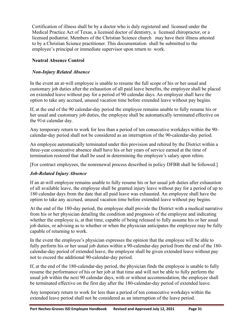Certification of illness shall be by a doctor who is duly registered and licensed under the Medical Practice Act of Texas, a licensed doctor of dentistry, a licensed chiropractor, or a licensed podiatrist. Members of the Christian Science church may have their illness attested to by a Christian Science practitioner. This documentation shall be submitted to the employee's principal or immediate supervisor upon return to work.

#### **Neutral Absence Control**

#### *Non-Injury Related Absence*

In the event an at-will employee is unable to resume the full scope of his or her usual and customary job duties after the exhaustion of all paid leave benefits, the employee shall be placed on extended leave without pay for a period of 90 calendar days. An employee shall have the option to take any accrued, unused vacation time before extended leave without pay begins.

If, at the end of the 90 calendar-day period the employee remains unable to fully resume his or her usual and customary job duties, the employee shall be automatically terminated effective on the 91st calendar day.

Any temporary return to work for less than a period of ten consecutive workdays within the 90 calendar-day period shall not be considered as an interruption of the 90-calendar-day period.

An employee automatically terminated under this provision and rehired by the District within a three-year consecutive absence shall have his or her years of service earned at the time of termination restored that shall be used in determining the employee's salary upon rehire.

[For contract employees, the nonrenewal process described in policy DFBB shall be followed.]

#### *Job-Related Injury Absence*

If an at-will employee remains unable to fully resume his or her usual job duties after exhaustion of all available leave, the employee shall be granted injury leave without pay for a period of up to 180 calendar days from the date that all paid leave was exhausted. An employee shall have the option to take any accrued, unused vacation time before extended leave without pay begins.

At the end of the 180-day period, the employee shall provide the District with a medical narrative from his or her physician detailing the condition and prognosis of the employee and indicating whether the employee is, at that time, capable of being released to fully assume his or her usual job duties, or advising as to whether or when the physician anticipates the employee may be fully capable of returning to work.

In the event the employee's physician expresses the opinion that the employee will be able to fully perform his or her usual job duties within a 90-calendar-day period from the end of the 180 calendar-day period of extended leave, the employee shall be given extended leave without pay not to exceed the additional 90-calendar-day period.

If, at the end of the 180-calendar-day period, the physician finds the employee is unable to fully resume the performance of his or her job at that time and will not be able to fully perform the usual job within the next 90 calendar days, with or without accommodation, the employee shall be terminated effective on the first day after the 180-calendar-day period of extended leave.

Any temporary return to work for less than a period of ten consecutive workdays within the extended leave period shall not be considered as an interruption of the leave period.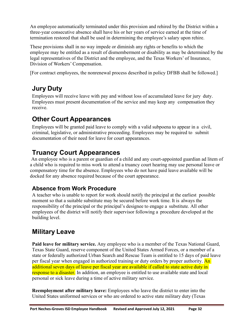An employee automatically terminated under this provision and rehired by the District within a three-year consecutive absence shall have his or her years of service earned at the time of termination restored that shall be used in determining the employee's salary upon rehire.

These provisions shall in no way impede or diminish any rights or benefits to which the employee may be entitled as a result of dismemberment or disability as may be determined by the legal representatives of the District and the employee, and the Texas Workers' of Insurance, Division of Workers' Compensation.

[For contract employees, the nonrenewal process described in policy DFBB shall be followed.]

# <span id="page-31-0"></span>**Jury Duty**

Employees will receive leave with pay and without loss of accumulated leave for jury duty. Employees must present documentation of the service and may keep any compensation they receive.

# <span id="page-31-1"></span>**Other Court Appearances**

Employees will be granted paid leave to comply with a valid subpoena to appear in a civil, criminal, legislative, or administrative proceeding. Employees may be required to submit documentation of their need for leave for court appearances.

# **Truancy Court Appearances**

An employee who is a parent or guardian of a child and any court-appointed guardian ad litem of a child who is required to miss work to attend a truancy court hearing may use personal leave or compensatory time for the absence. Employees who do not have paid leave available will be docked for any absence required because of the court appearance.

# <span id="page-31-2"></span>**Absence from Work Procedure**

A teacher who is unable to report for work should notify the principal at the earliest possible moment so that a suitable substitute may be secured before work time. It is always the responsibility of the principal or the principal's designee to engage a substitute. All other employees of the district will notify their supervisor following a procedure developed at the building level.

# <span id="page-31-3"></span>**Military Leave**

**Paid leave for military service.** Any employee who is a member of the Texas National Guard, Texas State Guard, reserve component of the United States Armed Forces, or a member of a state or federally authorized Urban Search and Rescue Team is entitled to 15 days of paid leave per fiscal year when engaged in authorized training or duty orders by proper authority. An additional seven days of leave per fiscal year are available if called to state active duty in response to a disaster. In addition, an employee is entitled to use available state and local personal or sick leave during a time of active military service.

**Reemployment after military leave:** Employees who leave the district to enter into the United States uniformed services or who are ordered to active state military duty (Texas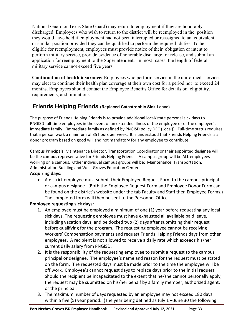National Guard or Texas State Guard) may return to employment if they are honorably discharged. Employees who wish to return to the district will be reemployed in the position they would have held if employment had not been interrupted or reassigned to an equivalent or similar position provided they can be qualified to perform the required duties. To be eligible for reemployment, employees must provide notice of their obligation or intent to perform military service, provide evidence of honorable discharge or release, and submit an application for reemployment to the Superintendent. In most cases, the length of federal military service cannot exceed five years.

**Continuation of health insurance:** Employees who perform service in the uniformed services may elect to continue their health plan coverage at their own cost for a period not to exceed 24 months. Employees should contact the Employee Benefits Office for details on eligibility, requirements, and limitations.

### **Friends Helping Friends (Replaced Catastrophic Sick Leave)**

The purpose of Friends Helping Friends is to provide additional local/state personal sick days to PNGISD full-time employees in the event of an extended illness of the employee or of the employee's immediate family. (Immediate family as defined by PNGISD policy DEC (Local)). Full-time status requires that a person work a minimum of 35 hours per week. It is understood that Friends Helping Friends is a donor program based on good will and not mandatory for any employee to contribute.

Campus Principals, Maintenance Director, Transportation Coordinator or their appointed designee will be the campus representative for Friends Helping Friends. A campus group will be ALL employees working on a campus. Other individual campus groups will be: Maintenance, Transportation, Administration Building and West Groves Education Center.

#### **Acquiring days:**

• A district employee must submit their Employee Request Form to the campus principal or campus designee. (Both the Employee Request Form and Employee Donor Form can be found on the district's website under the tab Faculty and Staff then Employee Forms.) The completed form will then be sent to the Personnel Office.

#### **Employee requesting sick days:**

- 1. An employee must be employed a minimum of one (1) year before requesting any local sick days. The requesting employee must have exhausted all available paid leave, including vacation days, and be docked two (2) days after submitting their request before qualifying for the program. The requesting employee cannot be receiving Workers' Compensation payments and request Friends Helping Friends days from other employees. A recipient is not allowed to receive a daily rate which exceeds his/her current daily salary from PNGISD.
- 2. It is the responsibility of the requesting employee to submit a request to the campus principal or designee. The employee's name and reason for the request must be stated on the form. The requested days must be made prior to the time the employee will be off work. Employee's cannot request days to replace days prior to the initial request. Should the recipient be incapacitated to the extent that he/she cannot personally apply, the request may be submitted on his/her behalf by a family member, authorized agent, or the principal.
- 3. The maximum number of days requested by an employee may not exceed 180 days within a five (5) year period. (The year being defined as July  $1 -$  June 30 the following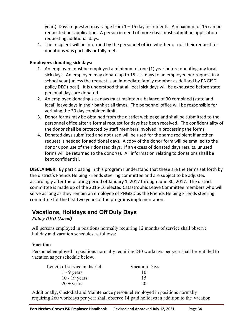year.) Days requested may range from 1 – 15 day increments. A maximum of 15 can be requested per application. A person in need of more days must submit an application requesting additional days.

4. The recipient will be informed by the personnel office whether or not their request for donations was partially or fully met.

#### **Employees donating sick days:**

- 1. An employee must be employed a minimum of one (1) year before donating any local sick days. An employee may donate up to 15 sick days to an employee per request in a school year (unless the request is an immediate family member as defined by PNGISD policy DEC (local). It is understood that all local sick days will be exhausted before state personal days are donated.
- 2. An employee donating sick days must maintain a balance of 30 combined (state and local) leave days in their bank at all times. The personnel office will be responsible for verifying the 30 day combined limit.
- 3. Donor forms may be obtained from the district web page and shall be submitted to the personnel office after a formal request for days has been received. The confidentiality of the donor shall be protected by staff members involved in processing the forms.
- 4. Donated days submitted and not used will be used for the same recipient if another request is needed for additional days. A copy of the donor form will be emailed to the donor upon use of their donated days. If an excess of donated days results, unused forms will be returned to the donor(s). All information relating to donations shall be kept confidential.

**DISCLAIMER:** By participating in this program I understand that these are the terms set forth by the district's Friends Helping Friends steering committee and are subject to be adjusted accordingly after the piloting period of January 1, 2017 through June 30, 2017. The district committee is made up of the 2015-16 elected Catastrophic Leave Committee members who will serve as long as they remain an employee of PNGISD as the Friends Helping Friends steering committee for the first two years of the programs implementation.

#### <span id="page-33-0"></span>**Vacations, Holidays and Off Duty Days** *Policy DED (Local)*

All persons employed in positions normally requiring 12 months of service shall observe holiday and vacation schedules as follows:

#### **Vacation**

Personnel employed in positions normally requiring 240 workdays per year shall be entitled to vacation as per schedule below.

| Length of service in district | <b>Vacation Days</b> |
|-------------------------------|----------------------|
| $1 - 9$ years                 | 10                   |
| $10 - 19$ years               | 15                   |
| $20 + \text{years}$           | 20                   |

Additionally, Custodial and Maintenance personnel employed in positions normally requiring 260 workdays per year shall observe 14 paid holidays in addition to the vacation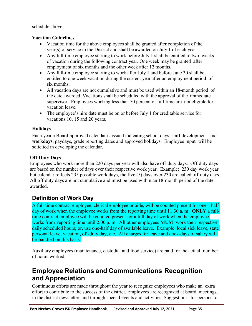schedule above.

#### **Vacation Guidelines**

- Vacation time for the above employees shall be granted after completion of the year(s) of service in the District and shall be awarded on July 1 of each year.
- Any full-time employee starting to work before July 1 shall be entitled to two weeks of vacation during the following contract year. One week may be granted after employment of six months and the other week after 12 months.
- Any full-time employee starting to work after July 1 and before June 30 shall be entitled to one week vacation during the current year after an employment period of six months.
- All vacation days are not cumulative and must be used within an 18-month period of the date awarded. Vacations shall be scheduled with the approval of the immediate supervisor. Employees working less than 50 percent of full-time are not eligible for vacation leave.
- The employee's hire date must be on or before July 1 for creditable service for vacations 10, 15 and 20 years.

#### **Holidays**

Each year a Board-approved calendar is issued indicating school days, staff development and **workdays**, paydays, grade reporting dates and approved holidays. Employee input will be solicited in developing the calendar.

#### **Off-Duty Days**

Employees who work more than 220 days per year will also have off-duty days. Off-duty days are based on the number of days over their respective work year. Example: 230 day work year but calendar reflects 235 possible work days, the five (5) days over 230 are called off-duty days. All off-duty days are not cumulative and must be used within an 18-month period of the date awarded.

# **Definition of Work Day**

A full-time contract employee, clerical employee or aide, will be counted present for one- half day of work when the employee works from the reporting time until 11:30 a. m. **ONLY** a fulltime contract employee will be counted present for a full day of work when the employee works from reporting time until 2:00 p. m. All other employees **MUST** work their respective daily scheduled hours; or, use one-half day of available leave. Example: local sick leave, state personal leave, vacation, off-duty day, etc. All charges for leave and dock-days of salary will be handled on this basis.

Auxiliary employees (maintenance, custodial and food service) are paid for the actual number of hours worked.

# <span id="page-34-1"></span><span id="page-34-0"></span>**Employee Relations and Communications Recognition and Appreciation**

Continuous efforts are made throughout the year to recognize employees who make an extra effort to contribute to the success of the district. Employees are recognized at board meetings, in the district newsletter, and through special events and activities. Suggestions for persons to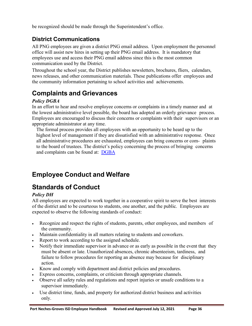be recognized should be made through the Superintendent's office.

# <span id="page-35-0"></span>**District Communications**

All PNG employees are given a district PNG email address. Upon employment the personnel office will assist new hires in setting up their PNG email address. It is mandatory that employees use and access their PNG email address since this is the most common communication used by the District.

Throughout the school year, the District publishes newsletters, brochures, fliers, calendars, news releases, and other communication materials. These publications offer employees and the community information pertaining to school activities and achievements.

# <span id="page-35-1"></span>**Complaints and Grievances**

#### *Policy DGBA*

In an effort to hear and resolve employee concerns or complaints in a timely manner and at the lowest administrative level possible, the board has adopted an orderly grievance process. Employees are encouraged to discuss their concerns or complaints with their supervisors or an appropriate administrator at any time.

The formal process provides all employees with an opportunity to be heard up to the highest level of management if they are dissatisfied with an administrative response. Once all administrative procedures are exhausted, employees can bring concerns or com- plaints to the board of trustees. The district's policy concerning the process of bringing concerns and complaints can be found at: [DGBA](http://pol.tasb.org/Policy/Code/724?filter=DGBA)

# <span id="page-35-2"></span>**Employee Conduct and Welfare**

# <span id="page-35-3"></span>**Standards of Conduct**

#### *Policy DH*

All employees are expected to work together in a cooperative spirit to serve the best interests of the district and to be courteous to students, one another, and the public. Employees are expected to observe the following standards of conduct:

- Recognize and respect the rights of students, parents, other employees, and members of the community.
- Maintain confidentiality in all matters relating to students and coworkers.
- Report to work according to the assigned schedule.
- Notify their immediate supervisor in advance or as early as possible in the event that they must be absent or late. Unauthorized absences, chronic absenteeism, tardiness, and failure to follow procedures for reporting an absence may because for disciplinary action.
- Know and comply with department and district policies and procedures.
- Express concerns, complaints, or criticism through appropriate channels.
- Observe all safety rules and regulations and report injuries or unsafe conditions to a supervisor immediately.
- Use district time, funds, and property for authorized district business and activities only.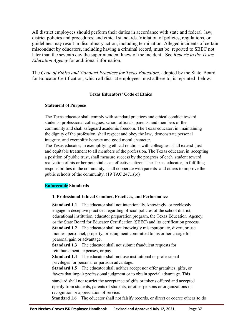All district employees should perform their duties in accordance with state and federal law, district policies and procedures, and ethical standards. Violation of policies, regulations, or guidelines may result in disciplinary action, including termination. Alleged incidents of certain misconduct by educators, including having a criminal record, must be reported to SBEC not later than the seventh day the superintendent knew of the incident. See *Reports to the Texas Education Agency* for additional information.

The *Code of Ethics and Standard Practices for Texas Educators*, adopted by the State Board for Educator Certification, which all district employees must adhere to, is reprinted below:

#### **Texas Educators' Code of Ethics**

#### **Statement of Purpose**

The Texas educator shall comply with standard practices and ethical conduct toward students, professional colleagues, school officials, parents, and members of the community and shall safeguard academic freedom. The Texas educator, in maintaining the dignity of the profession, shall respect and obey the law, demonstrate personal integrity, and exemplify honesty and good moral character.

The Texas educator, in exemplifying ethical relations with colleagues, shall extend just and equitable treatment to all members of the profession. The Texas educator, in accepting a position of public trust, shall measure success by the progress of each student toward realization of his or her potential as an effective citizen. The Texas educator, in fulfilling responsibilities in the community, shall cooperate with parents and others to improve the public schools of the community. (19 TAC 247.1(b))

#### **Enforceable Standards**

#### **1. Professional Ethical Conduct, Practices, and Performance**

**Standard 1.1** The educator shall not intentionally, knowingly, or recklessly engage in deceptive practices regarding official policies of the school district, educational institution, educator preparation program, the Texas Education Agency, or the State Board for Educator Certification (SBEC) and its certification process. **Standard 1.2** The educator shall not knowingly misappropriate, divert, or use monies, personnel, property, or equipment committed to his or her charge for personal gain or advantage.

**Standard 1.3** The educator shall not submit fraudulent requests for reimbursement, expenses, or pay.

**Standard 1.4** The educator shall not use institutional or professional privileges for personal or partisan advantage.

**Standard 1.5** The educator shall neither accept nor offer gratuities, gifts, or favors that impair professional judgment or to obtain special advantage. This

standard shall not restrict the acceptance of gifts or tokens offered and accepted openly from students, parents of students, or other persons or organizations in recognition or appreciation of service.

**Standard 1.6** The educator shall not falsify records, or direct or coerce others to do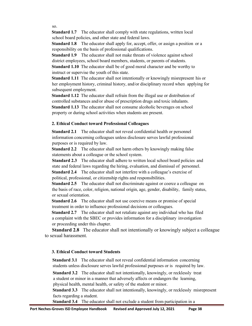so.

**Standard 1.7** The educator shall comply with state regulations, written local school board policies, and other state and federal laws.

**Standard 1.8** The educator shall apply for, accept, offer, or assign a position or a responsibility on the basis of professional qualifications.

**Standard 1.9** The educator shall not make threats of violence against school district employees, school board members, students, or parents of students.

**Standard 1.10** The educator shall be of good moral character and be worthy to instruct or supervise the youth of this state.

**Standard 1.11** The educator shall not intentionally or knowingly misrepresent his or her employment history, criminal history, and/or disciplinary record when applying for subsequent employment.

**Standard 1.12** The educator shall refrain from the illegal use or distribution of controlled substances and/or abuse of prescription drugs and toxic inhalants. **Standard 1.13** The educator shall not consume alcoholic beverages on school property or during school activities when students are present.

#### **2. Ethical Conduct toward Professional Colleagues**

**Standard 2.1** The educator shall not reveal confidential health or personnel information concerning colleagues unless disclosure serves lawful professional purposes or is required by law.

**Standard 2.2** The educator shall not harm others by knowingly making false statements about a colleague or the school system.

**Standard 2.3** The educator shall adhere to written local school board policies and state and federal laws regarding the hiring, evaluation, and dismissal of personnel.

**Standard 2.4** The educator shall not interfere with a colleague's exercise of political, professional, or citizenship rights and responsibilities.

**Standard 2.5** The educator shall not discriminate against or coerce a colleague on the basis of race, color, religion, national origin, age, gender, disability, family status, or sexual orientation.

**Standard 2.6** The educator shall not use coercive means or promise of special treatment in order to influence professional decisions or colleagues.

**Standard 2.7** The educator shall not retaliate against any individual who has filed a complaint with the SBEC or provides information for a disciplinary investigation or proceeding under this chapter.

**Standard 2.8** The educator shall not intentionally or knowingly subject a colleague to sexual harassment.

#### **3. Ethical Conduct toward Students**

**Standard 3.1** The educator shall not reveal confidential information concerning students unless disclosure serves lawful professional purposes or is required by law.

**Standard 3.2** The educator shall not intentionally, knowingly, or recklessly treat a student or minor in a manner that adversely affects or endangers the learning, physical health, mental health, or safety of the student or minor.

**Standard 3.3** The educator shall not intentionally, knowingly, or recklessly misrepresent facts regarding a student.

**Standard 3.4** The educator shall not exclude a student from participation in a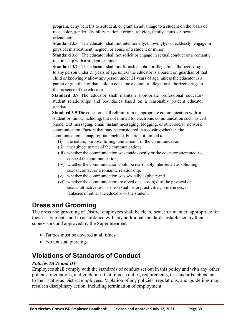program, deny benefits to a student, or grant an advantage to a student on the basis of race, color, gender, disability, national origin, religion, family status, or sexual orientation.

**Standard 3.5** The educator shall not intentionally, knowingly, or recklessly engage in physical mistreatment, neglect, or abuse of a student or minor.

**Standard 3.6** The educator shall not solicit or engage in sexual conduct or a romantic relationship with a student or minor.

**Standard 3.7** The educator shall not furnish alcohol or illegal/unauthorized drugs to any person under 21 years of age unless the educator is a parent or guardian of that child or knowingly allow any person under 21 years of age unless the educator is a parent or guardian of that child to consume alcohol or illegal/unauthorized drugs in the presence of the educator.

**Standard 3.8** The educator shall maintain appropriate professional educatorstudent relationships and boundaries based on a reasonably prudent educator standard.

**Standard 3.9** The educator shall refrain from inappropriate communication with a student or minor, including, but not limited to, electronic communication such as cell phone, text messaging, email, instant messaging, blogging, or other social network communication. Factors that may be considered in assessing whether the communication is inappropriate include, but are not limited to:

- (i) the nature, purpose, timing, and amount of the communication;
- (ii) the subject matter of the communication;
- (iii) whether the communication was made openly or the educator attempted to conceal the communication;
- (iv) whether the communication could be reasonably interpreted as soliciting sexual contact or a romantic relationship;
- (v) whether the communication was sexually explicit; and
- <span id="page-38-0"></span>(vi) whether the communication involved discussion(s) of the physical or sexual attractiveness or the sexual history, activities, preferences, or fantasies of either the educator or the student.

# **Dress and Grooming**

The dress and grooming of District employees shall be clean, neat, in a manner appropriate for their assignments, and in accordance with any additional standards established by their supervisors and approved by the Superintendent.

- Tattoos must be covered at all times
- <span id="page-38-1"></span>• No unusual piercings

# **Violations of Standards of Conduct**

#### *Policies DCD and DF*

Employees shall comply with the standards of conduct set out in this policy and with any other policies, regulations, and guidelines that impose duties, requirements, or standards attendant to their status as District employees. Violation of any policies, regulations, and guidelines may result in disciplinary action, including termination of employment.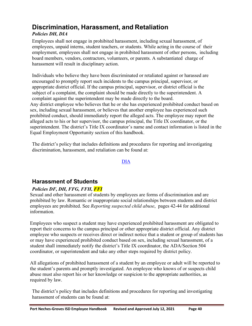# <span id="page-39-0"></span>**Discrimination, Harassment, and Retaliation**

### *Policies DH, DIA*

Employees shall not engage in prohibited harassment, including sexual harassment, of employees, unpaid interns, student teachers, or students. While acting in the course of their employment, employees shall not engage in prohibited harassment of other persons, including board members, vendors, contractors, volunteers, or parents. A substantiated charge of harassment will result in disciplinary action.

Individuals who believe they have been discriminated or retaliated against or harassed are encouraged to promptly report such incidents to the campus principal, supervisor, or appropriate district official. If the campus principal, supervisor, or district official is the subject of a complaint, the complaint should be made directly to the superintendent. A complaint against the superintendent may be made directly to the board. Any district employee who believes that he or she has experienced prohibited conduct based on sex, including sexual harassment, or believes that another employee has experienced such prohibited conduct, should immediately report the alleged acts. The employee may report the alleged acts to his or her supervisor, the campus principal, the Title IX coordinator, or the superintendent. The district's Title IX coordinator's name and contact information is listed in the Equal Employment Opportunity section of this handbook.

The district's policy that includes definitions and procedures for reporting and investigating discrimination, harassment, and retaliation can be found at:

<span id="page-39-1"></span>[DIA](http://pol.tasb.org/Policy/Code/724?filter=DIA)

# **Harassment of Students**

#### *Policies DF, DH, FFG, FFH, FFI*

Sexual and other harassment of students by employees are forms of discrimination and are prohibited by law. Romantic or inappropriate social relationships between students and district employees are prohibited. See *Reporting suspected child abuse*, pages 42-44 for additional information.

Employees who suspect a student may have experienced prohibited harassment are obligated to report their concerns to the campus principal or other appropriate district official. Any district employee who suspects or receives direct or indirect notice that a student or group of students has or may have experienced prohibited conduct based on sex, including sexual harassment, of a student shall immediately notify the district's Title IX coordinator, the ADA/Section 504 coordinator, or superintendent and take any other steps required by district policy.

All allegations of prohibited harassment of a student by an employee or adult will be reported to the student's parents and promptly investigated. An employee who knows of or suspects child abuse must also report his or her knowledge or suspicion to the appropriate authorities, as required by law.

The district's policy that includes definitions and procedures for reporting and investigating harassment of students can be found at: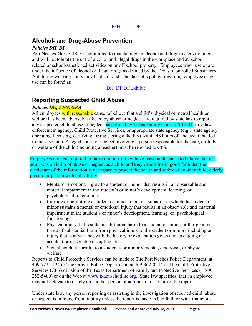### **Alcohol- and Drug-Abuse Prevention**

#### *Policies DH, DI*

Port Neches-Groves ISD is committed to maintaining an alcohol and drug-free environment and will not tolerate the use of alcohol and illegal drugs in the workplace and at schoolrelated or school-sanctioned activities on or off school property. Employees who use or are under the influence of alcohol or illegal drugs as defined by the Texas Controlled Substances Act during working hours may be dismissed. The district's policy regarding employee drug use can be found at:

#### <span id="page-40-1"></span><span id="page-40-0"></span>[DH](http://pol.tasb.org/Policy/Code/724?filter=DH) [DI](http://pol.tasb.org/Policy/Code/724?filter=DI) [DI\(Exhibit\)](http://pol.tasb.org/Policy/Code/724?filter=DI)

### **Reporting Suspected Child Abuse**

#### *Policies DG, FFG, GRA*

All employees with reasonable cause to believe that a child's physical or mental health or welfare has been adversely affected by abuse or neglect, are required by state law to report any suspected child abuse or neglect, as defined by Texas Family Code  $\S261.001$ , to a law enforcement agency, Child Protective Services, or appropriate state agency (e.g., state agency operating, licensing, certifying, or registering a facility) within 48 hours of the event that led to the suspicion. Alleged abuse or neglect involving a person responsible for the care, custody, or welfare of the child (including a teacher) must be reported to CPS.

Employees are also required to make a report if they have reasonable cause to believe that an adult was a victim of abuse or neglect as a child and they determine in good faith that the disclosure of the information is necessary to protect the health and safety of another child, elderly person, or person with a disability.

- Mental or emotional injury to a student or minor that results in an observable and material impairment in the student's or minor's development, learning, or psychological functioning;
- Causing or permitting a student or minor to be in a situation in which the student or minor sustains a mental or emotional injury that results in an observable and material impairment in the student's or minor's development, learning, or psychological functioning;
- Physical injury that results in substantial harm to a student or minor, or the genuine threat of substantial harm from physical injury to the student or minor, including an injury that is at variance with the history or explanation given and excluding an accident or reasonable discipline; or
- Sexual conduct harmful to a student's or minor's mental, emotional, or physical welfare.

Reports to Child Protective Services can be made to The Port Neches Police Department at 409-722-1424 or The Groves Police Department, at 409-962-0244 or The child Protective Services (CPS) division of the Texas Department of Family and Protective Services (1-800 252-5400) or on the Web at [www.txabusehotline.org.](http://www.txabusehotline.org/) State law specifies that an employee may not delegate to or rely on another person or administrator to make the report.

Under state law, any person reporting or assisting in the investigation of reported child abuse or neglect is immune from liability unless the report is made in bad faith or with malicious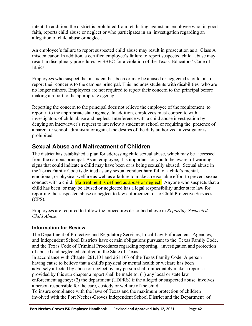intent. In addition, the district is prohibited from retaliating against an employee who, in good faith, reports child abuse or neglect or who participates in an investigation regarding an allegation of child abuse or neglect.

An employee's failure to report suspected child abuse may result in prosecution as a Class A misdemeanor. In addition, a certified employee's failure to report suspected child abuse may result in disciplinary procedures by SBEC for a violation of the Texas Educators' Code of Ethics.

Employees who suspect that a student has been or may be abused or neglected should also report their concerns to the campus principal. This includes students with disabilities who are no longer minors. Employees are not required to report their concern to the principal before making a report to the appropriate agency.

Reporting the concern to the principal does not relieve the employee of the requirement to report it to the appropriate state agency. In addition, employees must cooperate with investigators of child abuse and neglect. Interference with a child abuse investigation by denying an interviewer's request to interview a student at school or requiring the presence of a parent or school administrator against the desires of the duly authorized investigator is prohibited.

### <span id="page-41-0"></span>**Sexual Abuse and Maltreatment of Children**

The district has established a plan for addressing child sexual abuse, which may be accessed from the campus principal. As an employee, it is important for you to be aware of warning signs that could indicate a child may have been or is being sexually abused. Sexual abuse in the Texas Family Code is defined as any sexual conduct harmful to a child's mental, emotional, or physical welfare as well as a failure to make a reasonable effort to prevent sexual conduct with a child. Maltreatment is defined as abuse or neglect. Anyone who suspects that a child has been or may be abused or neglected has a legal responsibility under state law for reporting the suspected abuse or neglect to law enforcement or to Child Protective Services (CPS).

Employees are required to follow the procedures described above in *Reporting Suspected Child Abuse*.

#### **Information for Review**

The Department of Protective and Regulatory Services, Local Law Enforcement Agencies, and Independent School Districts have certain obligations pursuant to the Texas Family Code, and the Texas Code of Criminal Procedures regarding reporting, investigation and protection of abused and neglected children in the State of Texas.

In accordance with Chapter 261.101 and 261.103 of the Texas Family Code: A person having cause to believe that a child's physical or mental health or welfare has been adversely affected by abuse or neglect by any person shall immediately make a report as provided by this sub chapter a report shall be made to: (1) any local or state law enforcement agency; (2) the department (TDPRS) if the alleged or suspected abuse involves a person responsible for the care, custody or welfare of the child.

To insure compliance with the laws of Texas and the maximum protection of children involved with the Port Neches-Groves Independent School District and the Department of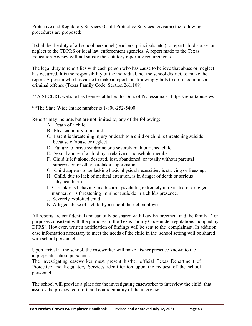Protective and Regulatory Services (Child Protective Services Division) the following procedures are proposed:

It shall be the duty of all school personnel (teachers, principals, etc.) to report child abuse or neglect to the TDPRS or local law enforcement agencies. A report made to the Texas Education Agency will not satisfy the statutory reporting requirements.

The legal duty to report lies with each person who has cause to believe that abuse or neglect has occurred. It is the responsibility of the individual, not the school district, to make the report. A person who has cause to make a report, but knowingly fails to do so commits a criminal offense (Texas Family Code, Section 261.109).

#### \*\*A SECURE website has been established for School Professionals: https://reportabuse.ws

#### \*\*The State Wide Intake number is 1-800-252-5400

Reports may include, but are not limited to, any of the following:

- A. Death of a child.
- B. Physical injury of a child.
- C. Parent is threatening injury or death to a child or child is threatening suicide because of abuse or neglect.
- D. Failure to thrive syndrome or a severely malnourished child.
- E. Sexual abuse of a child by a relative or household member.
- F. Child is left alone, deserted, lost, abandoned, or totally without parental supervision or other caretaker supervision.
- G. Child appears to be lacking basic physical necessities, is starving or freezing.
- H. Child, due to lack of medical attention, is in danger of death or serious physical harm.
- I. Caretaker is behaving in a bizarre, psychotic, extremely intoxicated or drugged manner, or is threatening imminent suicide in a child's presence.
- J. Severely exploited child.
- K. Alleged abuse of a child by a school district employee

All reports are confidential and can only be shared with Law Enforcement and the family "for purposes consistent with the purposes of the Texas Family Code under regulations adopted by DPRS". However, written notification of findings will be sent to the complainant. In addition, case information necessary to meet the needs of the child in the school setting will be shared with school personnel.

Upon arrival at the school, the caseworker will make his/her presence known to the appropriate school personnel.

The investigating caseworker must present his/her official Texas Department of Protective and Regulatory Services identification upon the request of the school personnel.

The school will provide a place for the investigating caseworker to interview the child that assures the privacy, comfort, and confidentiality of the interview.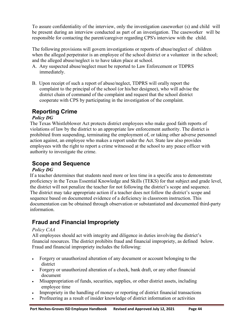To assure confidentiality of the interview, only the investigation caseworker (s) and child will be present during an interview conducted as part of an investigation. The caseworker will be responsible for contacting the parent/caregiver regarding CPS's interview with the child.

The following provisions will govern investigations or reports of abuse/neglect of children when the alleged perpetrator is an employee of the school district or a volunteer in the school; and the alleged abuse/neglect is to have taken place at school.

- A. Any suspected abuse/neglect must be reported to Law Enforcement or TDPRS immediately.
- B. Upon receipt of such a report of abuse/neglect, TDPRS will orally report the complaint to the principal of the school (or his/her designee), who will advise the district chain of command of the complaint and request that the school district cooperate with CPS by participating in the investigation of the complaint.

# **Reporting Crime**

#### *Policy DG*

The Texas Whistleblower Act protects district employees who make good faith reports of violations of law by the district to an appropriate law enforcement authority. The district is prohibited from suspending, terminating the employment of, or taking other adverse personnel action against, an employee who makes a report under the Act. State law also provides employees with the right to report a crime witnessed at the school to any peace officer with authority to investigate the crime.

### **Scope and Sequence**

#### *Policy DG*

If a teacher determines that students need more or less time in a specific area to demonstrate proficiency in the Texas Essential Knowledge and Skills (TEKS) for that subject and grade level, the district will not penalize the teacher for not following the district's scope and sequence. The district may take appropriate action if a teacher does not follow the district's scope and sequence based on documented evidence of a deficiency in classroom instruction. This documentation can be obtained through observation or substantiated and documented third-party information.

# <span id="page-43-0"></span>**Fraud and Financial Impropriety**

#### *Policy CAA*

All employees should act with integrity and diligence in duties involving the district's financial resources. The district prohibits fraud and financial impropriety, as defined below. Fraud and financial impropriety includes the following:

- Forgery or unauthorized alteration of any document or account belonging to the district
- Forgery or unauthorized alteration of a check, bank draft, or any other financial document
- Misappropriation of funds, securities, supplies, or other district assets, including employee time
- Impropriety in the handling of money or reporting of district financial transactions
- Profiteering as a result of insider knowledge of district information or activities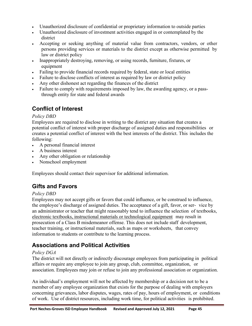- Unauthorized disclosure of confidential or proprietary information to outside parties
- Unauthorized disclosure of investment activities engaged in or contemplated by the district
- Accepting or seeking anything of material value from contractors, vendors, or other persons providing services or materials to the district except as otherwise permitted by law or district policy
- Inappropriately destroying, removing, or using records, furniture, fixtures, or equipment
- Failing to provide financial records required by federal, state or local entities
- Failure to disclose conflicts of interest as required by law or district policy
- Any other dishonest act regarding the finances of the district
- Failure to comply with requirements imposed by law, the awarding agency, or a passthrough entity for state and federal awards

# <span id="page-44-0"></span>**Conflict of Interest**

#### *Policy DBD*

Employees are required to disclose in writing to the district any situation that creates a potential conflict of interest with proper discharge of assigned duties and responsibilities or creates a potential conflict of interest with the best interests of the district. This includes the following:

- A personal financial interest
- A business interest
- Any other obligation or relationship
- Nonschool employment

Employees should contact their supervisor for additional information.

# <span id="page-44-1"></span>**Gifts and Favors**

#### *Policy DBD*

Employees may not accept gifts or favors that could influence, or be construed to influence, the employee's discharge of assigned duties. The acceptance of a gift, favor, or ser- vice by an administrator or teacher that might reasonably tend to influence the selection of textbooks, electronic textbooks, instructional materials or technological equipment may result in prosecution of a Class B misdemeanor offense. This does not include staff development, teacher training, or instructional materials, such as maps or worksheets, that convey information to students or contribute to the learning process.

### <span id="page-44-2"></span>**Associations and Political Activities**

#### *Policy DGA*

The district will not directly or indirectly discourage employees from participating in political affairs or require any employee to join any group, club, committee, organization, or association. Employees may join or refuse to join any professional association or organization.

An individual's employment will not be affected by membership or a decision not to be a member of any employee organization that exists for the purpose of dealing with employers concerning grievances, labor disputes, wages, rates of pay, hours of employment, or conditions of work. Use of district resources, including work time, for political activities is prohibited.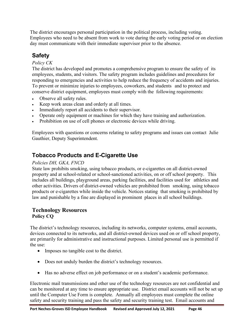The district encourages personal participation in the political process, including voting. Employees who need to be absent from work to vote during the early voting period or on election day must communicate with their immediate supervisor prior to the absence.

# <span id="page-45-0"></span>**Safety**

#### *Policy CK*

The district has developed and promotes a comprehensive program to ensure the safety of its employees, students, and visitors. The safety program includes guidelines and procedures for responding to emergencies and activities to help reduce the frequency of accidents and injuries. To prevent or minimize injuries to employees, coworkers, and students and to protect and conserve district equipment, employees must comply with the following requirements:

- Observe all safety rules.
- Keep work areas clean and orderly at all times.
- Immediately report all accidents to their supervisor.
- Operate only equipment or machines for which they have training and authorization.
- Prohibition on use of cell phones or electronic devices while driving.

Employees with questions or concerns relating to safety programs and issues can contact Julie Gauthier, Deputy Superintendent.

# <span id="page-45-1"></span>**Tobacco Products and E-Cigarette Use**

#### *Policies DH, GKA, FNCD*

State law prohibits smoking, using tobacco products, or e-cigarettes on all district-owned property and at school-related or school-sanctioned activities, on or off school property. This includes all buildings, playground areas, parking facilities, and facilities used for athletics and other activities. Drivers of district-owned vehicles are prohibited from smoking, using tobacco products or e-cigarettes while inside the vehicle. Notices stating that smoking is prohibited by law and punishable by a fine are displayed in prominent places in all school buildings.

#### **Technology Resources Policy CQ**

The district's technology resources, including its networks, computer systems, email accounts, devices connected to its networks, and all district-owned devices used on or off school property, are primarily for administrative and instructional purposes. Limited personal use is permitted if the use:

- Imposes no tangible cost to the district.
- Does not unduly burden the district's technology resources.
- Has no adverse effect on job performance or on a student's academic performance.

Electronic mail transmissions and other use of the technology resources are not confidential and can be monitored at any time to ensure appropriate use. District email accounts will not be set up until the Computer Use Form is complete. Annually all employees must complete the online safety and security training and pass the safety and security training test. Email accounts and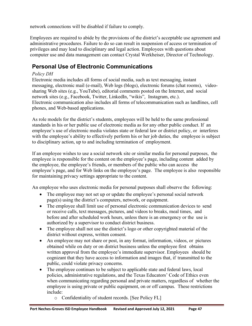network connections will be disabled if failure to comply.

Employees are required to abide by the provisions of the district's acceptable use agreement and administrative procedures. Failure to do so can result in suspension of access or termination of privileges and may lead to disciplinary and legal action. Employees with questions about computer use and data management can contact Crystal Werkheiser, Director of Technology.

### **Personal Use of Electronic Communications**

#### *Policy DH*

Electronic media includes all forms of social media, such as text messaging, instant messaging, electronic mail (e-mail), Web logs (blogs), electronic forums (chat rooms), videosharing Web sites (e.g., YouTube), editorial comments posted on the Internet, and social network sites (e.g., Facebook, Twitter, LinkedIn, "wikis", Instagram, etc.). Electronic communication also includes all forms of telecommunication such as landlines, cell phones, and Web-based applications.

As role models for the district's students, employees will be held to the same professional standards in his or her public use of electronic media as for any other public conduct. If an employee's use of electronic media violates state or federal law or district policy, or interferes with the employee's ability to effectively perform his or her job duties, the employee is subject to disciplinary action, up to and including termination of employment.

If an employee wishes to use a social network site or similar media for personal purposes, the employee is responsible for the content on the employee's page, including content added by the employee, the employee's friends, or members of the public who can access the employee's page, and for Web links on the employee's page. The employee is also responsible for maintaining privacy settings appropriate to the content.

An employee who uses electronic media for personal purposes shall observe the following:

- The employee may not set up or update the employee's personal social network page(s) using the district's computers, network, or equipment.
- The employee shall limit use of personal electronic communication devices to send or receive calls, text messages, pictures, and videos to breaks, meal times, and before and after scheduled work hours, unless there is an emergency or the use is authorized by a supervisor to conduct district business.
- The employee shall not use the district's logo or other copyrighted material of the district without express, written consent.
- An employee may not share or post, in any format, information, videos, or pictures obtained while on duty or on district business unless the employee first obtains written approval from the employee's immediate supervisor. Employees should be cognizant that they have access to information and images that, if transmitted to the public, could violate privacy concerns.
- The employee continues to be subject to applicable state and federal laws, local policies, administrative regulations, and the Texas Educators' Code of Ethics even when communicating regarding personal and private matters, regardless of whether the employee is using private or public equipment, on or off campus. These restrictions include:
	- o Confidentiality of student records. [See Policy FL]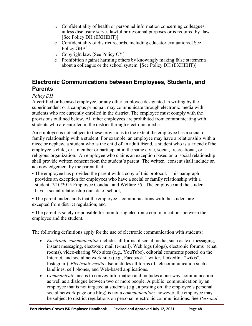- o Confidentiality of health or personnel information concerning colleagues, unless disclosure serves lawful professional purposes or is required by law. [See Policy DH (EXHIBIT)]
- o Confidentiality of district records, including educator evaluations. [See Policy GBA]
- o Copyright law. [See Policy CY]
- o Prohibition against harming others by knowingly making false statements about a colleague or the school system. [See Policy DH (EXHIBIT)]

# **Electronic Communications between Employees, Students, and Parents**

#### *Policy DH*

A certified or licensed employee, or any other employee designated in writing by the superintendent or a campus principal, may communicate through electronic media with students who are currently enrolled in the district. The employee must comply with the provisions outlined below. All other employees are prohibited from communicating with students who are enrolled in the district through electronic media.

An employee is not subject to these provisions to the extent the employee has a social or family relationship with a student. For example, an employee may have a relationship with a niece or nephew, a student who is the child of an adult friend, a student who is a friend of the employee's child, or a member or participant in the same civic, social, recreational, or religious organization. An employee who claims an exception based on a social relationship shall provide written consent from the student's parent. The written consent shall include an acknowledgement by the parent that:

• The employee has provided the parent with a copy of this protocol. This paragraph provides an exception for employees who have a social or family relationship with a student. 7/10/2015 Employee Conduct and Welfare 55. The employee and the student have a social relationship outside of school;

• The parent understands that the employee's communications with the student are excepted from district regulation; and

• The parent is solely responsible for monitoring electronic communications between the employee and the student.

The following definitions apply for the use of electronic communication with students:

- *Electronic communication* includes all forms of social media, such as text messaging, instant messaging, electronic mail (e-mail), Web logs (blogs), electronic forums (chat rooms), video-sharing Web sites (e.g., YouTube), editorial comments posted on the Internet, and social network sites (e.g., Facebook, Twitter, LinkedIn, "wikis", Instagram). *Electronic media* also includes all forms of telecommunication such as landlines, cell phones, and Web-based applications.
- *Communicate* means to convey information and includes a one-way communication as well as a dialogue between two or more people. A public communication by an employee that is not targeted at students (e.g., a posting on the employee's personal social network page or a blog) is not a *communication*: however, the employee may be subject to district regulations on personal electronic communications. See *Personal*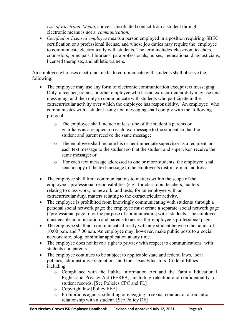*Use of Electronic Media*, above. Unsolicited contact from a student through electronic means is not a *communication*.

• *Certified or licensed employee* means a person employed in a position requiring SBEC certification or a professional license, and whose job duties may require the employee to communicate electronically with students. The term includes classroom teachers, counselors, principals, librarians, paraprofessionals, nurses, educational diagnosticians, licensed therapists, and athletic trainers.

An employee who uses electronic media to communicate with students shall observe the following:

- The employee may use any form of electronic communication **except** text messaging. Only a teacher, trainer, or other employee who has an extracurricular duty may use text messaging, and then only to communicate with students who participate in the extracurricular activity over which the employee has responsibility. An employee who communicates with a student using text messaging shall comply with the following protocol:
	- o The employee shall include at least one of the student's parents or guardians as a recipient on each text message to the student so that the student and parent receive the same message;
	- o The employee shall include his or her immediate supervisor as a recipient on each text message to the student so that the student and supervisor receive the same message; or
	- o For each text message addressed to one or more students, the employee shall send a copy of the text message to the employee's district e-mail address.
- The employee shall limit communications to matters within the scope of the employee's professional responsibilities (e.g., for classroom teachers, matters relating to class work, homework, and tests; for an employee with an extracurricular duty, matters relating to the extracurricular activity.
- The employee is prohibited from knowingly communicating with students through a personal social network page; the employee must create a separate social network page ("professional page") for the purpose of communicating with students. The employee must enable administration and parents to access the employee's professional page.
- The employee shall not communicate directly with any student between the hours of 10:00 p.m. and 7:00 a.m. An employee may, however, make public posts to a social network site, blog, or similar application at any time.
- The employee does not have a right to privacy with respect to communications with students and parents.
- The employee continues to be subject to applicable state and federal laws, local policies, administrative regulations, and the Texas Educators' Code of Ethics including:
	- o Compliance with the Public Information Act and the Family Educational Rights and Privacy Act (FERPA), including retention and confidentiality of student records. [See Policies CPC and FL]
	- o Copyright law [Policy EFE]
	- o Prohibitions against soliciting or engaging in sexual conduct or a romantic relationship with a student. [See Policy DF]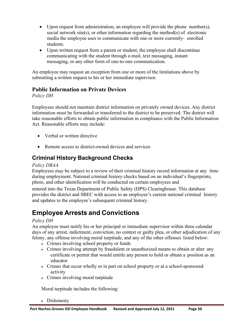- Upon request from administration, an employee will provide the phone number(s), social network site(s), or other information regarding the method(s) of electronic media the employee uses to communicate with one or more currently- enrolled students.
- Upon written request from a parent or student, the employee shall discontinue communicating with the student through e-mail, text messaging, instant messaging, or any other form of one-to-one communication.

An employee may request an exception from one or more of the limitations above by submitting a written request to his or her immediate supervisor.

### **Public Information on Private Devices**

*Policy DH*

Employees should not maintain district information on privately owned devices. Any district information must be forwarded or transferred to the district to be preserved. The district will take reasonable efforts to obtain public information in compliance with the Public Information Act. Reasonable efforts may include:

- Verbal or written directive
- <span id="page-49-0"></span>• Remote access to district-owned devices and services

# **Criminal History Background Checks**

#### *Policy DBAA*

Employees may be subject to a review of their criminal history record information at any time during employment. National criminal history checks based on an individual's fingerprints, photo, and other identification will be conducted on certain employees and

entered into the Texas Department of Public Safety (DPS) Clearinghouse. This database provides the district and SBEC with access to an employee's current national criminal history and updates to the employee's subsequent criminal history.

# **Employee Arrests and Convictions**

#### *Policy DH*

An employee must notify his or her principal or immediate supervisor within three calendar days of any arrest, indictment, conviction, no contest or guilty plea, or other adjudication of any felony, any offense involving moral turpitude, and any of the other offenses listed below:

- <span id="page-49-1"></span>• Crimes involving school property or funds
- Crimes involving attempt by fraudulent or unauthorized means to obtain or alter any certificate or permit that would entitle any person to hold or obtain a position as an educator
- Crimes that occur wholly or in part on school property or at a school-sponsored activity
- Crimes involving moral turpitude

Moral turpitude includes the following:

• Dishonesty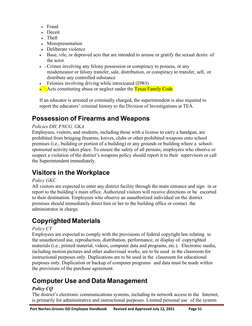- Fraud
- Deceit
- Theft
- Misrepresentation
- Deliberate violence
- Base, vile, or depraved acts that are intended to arouse or gratify the sexual desire of the actor
- Crimes involving any felony possession or conspiracy to possess, or any misdemeanor or felony transfer, sale, distribution, or conspiracy to transfer, sell, or distribute any controlled substance
- Felonies involving driving while intoxicated (DWI)
- Acts constituting abuse or neglect under the Texas Family Code

<span id="page-50-0"></span>If an educator is arrested or criminally charged, the superintendent is also required to report the educators' criminal history to the Division of Investigations at TEA.

# **Possession of Firearms and Weapons**

### *Policies DH, FNCG, GKA*

Employees, visitors, and students, including those with a license to carry a handgun, are prohibited from bringing firearms, knives, clubs or other prohibited weapons onto school premises (i.e., building or portion of a building) or any grounds or building where a schoolsponsored activity takes place. To ensure the safety of all persons, employees who observe or suspect a violation of the district's weapons policy should report it to their supervisors or call the Superintendent immediately.

# <span id="page-50-1"></span>**Visitors in the Workplace**

### *Policy GKC*

All visitors are expected to enter any district facility through the main entrance and sign in or report to the building's main office. Authorized visitors will receive directions or be escorted to their destination. Employees who observe an unauthorized individual on the district premises should immediately direct him or her to the building office or contact the administrator in charge.

# <span id="page-50-2"></span>**Copyrighted Materials**

### *Policy CY*

Employees are expected to comply with the provisions of federal copyright law relating to the unauthorized use, reproduction, distribution, performance, or display of copyrighted materials (i.e., printed material, videos, computer data and programs, etc.). Electronic media, including motion pictures and other audiovisual works, are to be used in the classroom for instructional purposes only. Duplications are to be used in the classroom for educational purposes only. Duplication or backup of computer programs and data must be made within the provisions of the purchase agreement.

# <span id="page-50-3"></span>**Computer Use and Data Management**

### *Policy CQ*

The district's electronic communications systems, including its network access to the Internet, is primarily for administrative and instructional purposes. Limited personal use of the system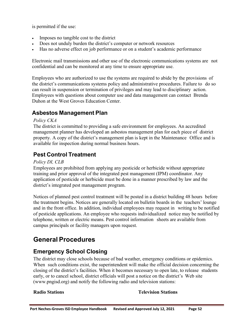is permitted if the use:

- Imposes no tangible cost to the district
- Does not unduly burden the district's computer or network resources
- Has no adverse effect on job performance or on a student's academic performance

Electronic mail transmissions and other use of the electronic communications systems are not confidential and can be monitored at any time to ensure appropriate use.

Employees who are authorized to use the systems are required to abide by the provisions of the district's communications systems policy and administrative procedures. Failure to do so can result in suspension or termination of privileges and may lead to disciplinary action. Employees with questions about computer use and data management can contact Brenda Duhon at the West Groves Education Center.

### **Asbestos Management Plan**

#### <span id="page-51-0"></span>*Policy CKA*

The district is committed to providing a safe environment for employees. An accredited management planner has developed an asbestos management plan for each piece of district property. A copy of the district's management plan is kept in the Maintenance Office and is available for inspection during normal business hours.

# <span id="page-51-1"></span>**Pest Control Treatment**

#### *Policy DI, CLB*

Employees are prohibited from applying any pesticide or herbicide without appropriate training and prior approval of the integrated pest management (IPM) coordinator. Any application of pesticide or herbicide must be done in a manner prescribed by law and the district's integrated pest management program.

Notices of planned pest control treatment will be posted in a district building 48 hours before the treatment begins. Notices are generally located on bulletin boards in the teachers' lounge and in the front office. In addition, individual employees may request in writing to be notified of pesticide applications. An employee who requests individualized notice may be notified by telephone, written or electric means. Pest control information sheets are available from campus principals or facility managers upon request.

# <span id="page-51-2"></span>**General Procedures**

### <span id="page-51-3"></span>**Emergency School Closing**

The district may close schools because of bad weather, emergency conditions or epidemics. When such conditions exist, the superintendent will make the official decision concerning the closing of the district's facilities. When it becomes necessary to open late, to release students early, or to cancel school, district officials will post a notice on the district's Web site (www.pngisd.org) and notify the following radio and television stations:

#### **Radio Stations Television Stations**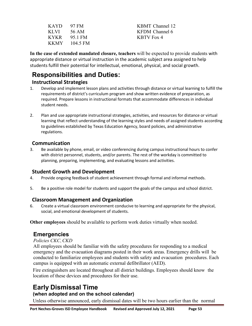| <b>KAYD</b> | 97 FM    |
|-------------|----------|
| <b>KLVI</b> | 56 AM    |
| <b>KYKR</b> | 95.1 FM  |
| <b>KKMY</b> | 104.5 FM |

KBMT Channel 12 KFDM Channel 6 KBTV Fox 4

**In the case of extended mandated closure, teachers** will be expected to provide students with appropriate distance or virtual instruction in the academic subject area assigned to help students fulfill their potential for intellectual, emotional, physical, and social growth.

# **Responsibilities and Duties:**

#### **Instructional Strategies**

- 1. Develop and implement lesson plans and activities through distance or virtual learning to fulfill the requirements of district's curriculum program and show written evidence of preparation, as required. Prepare lessons in instructional formats that accommodate differences in individual student needs.
- 2. Plan and use appropriate instructional strategies, activities, and resources for distance or virtual learning that reflect understanding of the learning styles and needs of assigned students according to guidelines established by Texas Education Agency, board policies, and administrative regulations.

### **Communication**

3. Be available by phone, email, or video conferencing during campus instructional hours to confer with district personnel, students, and/or parents. The rest of the workday is committed to planning, preparing, implementing, and evaluating lessons and activities.

### **Student Growth and Development**

- 4. Provide ongoing feedback of student achievement through formal and informal methods.
- 5. Be a positive role model for students and support the goals of the campus and school district.

### **Classroom Management and Organization**

6. Create a virtual classroom environment conducive to learning and appropriate for the physical, social, and emotional development of students.

**Other employees** should be available to perform work duties virtually when needed.

# <span id="page-52-0"></span>**Emergencies**

#### *Policies CKC*, *CKD*

All employees should be familiar with the safety procedures for responding to a medical emergency and the evacuation diagrams posted in their work areas. Emergency drills will be conducted to familiarize employees and students with safety and evacuation procedures. Each campus is equipped with an automatic external defibrillator (AED).

Fire extinguishers are located throughout all district buildings. Employees should know the location of these devices and procedures for their use.

# <span id="page-52-1"></span>**Early Dismissal Time**

### **(when adopted and on the school calendar)**

Unless otherwise announced, early dismissal dates will be two hours earlier than the normal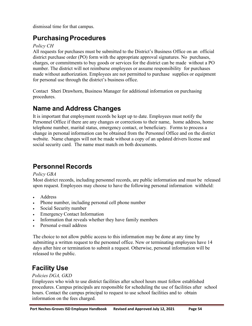dismissal time for that campus.

# <span id="page-53-0"></span>**Purchasing Procedures**

#### *Policy CH*

All requests for purchases must be submitted to the District's Business Office on an official district purchase order (PO) form with the appropriate approval signatures. No purchases, charges, or commitments to buy goods or services for the district can be made without a PO number. The district will not reimburse employees or assume responsibility for purchases made without authorization. Employees are not permitted to purchase supplies or equipment for personal use through the district's business office.

Contact Sheri Drawhorn, Business Manager for additional information on purchasing procedures.

# <span id="page-53-1"></span>**Name and Address Changes**

It is important that employment records be kept up to date. Employees must notify the Personnel Office if there are any changes or corrections to their name, home address, home telephone number, marital status, emergency contact, or beneficiary. Forms to process a change in personal information can be obtained from the Personnel Office and on the district website. Name changes will not be made without a copy of an updated drivers license and social security card. The name must match on both documents.

# <span id="page-53-2"></span>**Personnel Records**

#### *Policy GBA*

Most district records, including personnel records, are public information and must be released upon request. Employees may choose to have the following personal information withheld:

- Address
- Phone number, including personal cell phone number
- Social Security number
- **Emergency Contact Information**
- Information that reveals whether they have family members
- Personal e-mail address

The choice to not allow public access to this information may be done at any time by submitting a written request to the personnel office. New or terminating employees have 14 days after hire or termination to submit a request. Otherwise, personal information will be released to the public.

# <span id="page-53-3"></span>**Facility Use**

#### *Policies DGA, GKD*

Employees who wish to use district facilities after school hours must follow established procedures. Campus principals are responsible for scheduling the use of facilities after school hours. Contact the campus principal to request to use school facilities and to obtain information on the fees charged.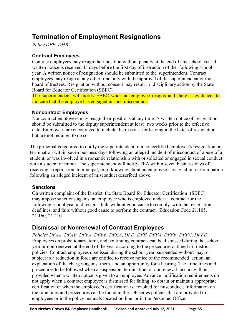# <span id="page-54-1"></span><span id="page-54-0"></span>**Termination of Employment Resignations**

*Policy DFE, DHB*

#### **Contract Employees**

Contract employees may resign their position without penalty at the end of any school year if written notice is received 45 days before the first day of instruction of the following school year. A written notice of resignation should be submitted to the superintendent. Contract employees may resign at any other time only with the approval of the superintendent or the board of trustees. Resignation without consent may result in disciplinary action by the State Board for Educator Certification (SBEC).

The superintendent will notify SBEC when an employee resigns and there is evidence to indicate that the employe has engaged in such misconduct.

#### **Noncontract Employees**

Noncontract employees may resign their positions at any time. A written notice of resignation should be submitted to the deputy superintendent at least two weeks prior to the effective date. Employees are encouraged to include the reasons for leaving in the letter of resignation but are not required to do so.

The principal is required to notify the superintendent of a noncertified employee's resignation or termination within seven business days following an alleged incident of misconduct of abuse of a student, or was involved in a romantic relationship with or solicited or engaged in sexual conduct with a student or minor. The superintendent will notify TEA within seven business days of receiving a report from a principal, or of knowing about an employee's resignation or termination following an alleged incident of misconduct described above.

#### **Sanctions**

On written complaint of the District, the State Board for Educator Certification (SBEC) may impose sanctions against an employee who is employed under a contract for the following school year and resigns, fails without good cause to comply with the resignation deadlines, and fails without good cause to perform the contract. Education Code 21.105, 21.160, 21.210

### <span id="page-54-2"></span>**Dismissal or Nonrenewal of Contract Employees**

*Policies DFAA, DFAB, DFBA, DFBB, DFCA, DFD, DFF, DFFA, DFFB, DFFC, DFFD* Employees on probationary, term, and continuing contracts can be dismissed during the school year or non-renewed at the end of the year according to the procedures outlined in district policies. Contract employees dismissed during the school year, suspended without pay, or subject to a reduction in force are entitled to receive notice of the recommended action, an explanation of the charges against them, and an opportunity for a hearing. The time lines and procedures to be followed when a suspension, termination, or nonrenewal occurs will be provided when a written notice is given to an employee. Advance notification requirements do not apply when a contract employee is dismissed for failing to obtain or maintain appropriate certification or when the employee's certification is revoked for misconduct. Information on the time lines and procedures can be found in the DF series policies that are provided to employees or in the policy manuals located on line or in the Personnel Office.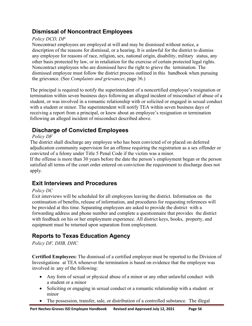# <span id="page-55-0"></span>**Dismissal of Noncontract Employees**

#### *Policy DCD, DP*

Noncontract employees are employed at will and may be dismissed without notice, a description of the reasons for dismissal, or a hearing. It is unlawful for the district to dismiss any employee for reasons of race, religion, sex, national origin, disability, military status, any other basis protected by law, or in retaliation for the exercise of certain protected legal rights. Noncontract employees who are dismissed have the right to grieve the termination. The dismissed employee must follow the district process outlined in this handbook when pursuing the grievance. (See *Complaints and grievances*, page 36.)

The principal is required to notify the superintendent of a noncertified employee's resignation or termination within seven business days following an alleged incident of misconduct of abuse of a student, or was involved in a romantic relationship with or solicited or engaged in sexual conduct with a student or minor. The superintendent will notify TEA within seven business days of receiving a report from a principal, or knew about an employee's resignation or termination following an alleged incident of misconduct described above.

# **Discharge of Convicted Employees**

#### *Policy DF*

The district shall discharge any employee who has been convicted of or placed on deferred adjudication community supervision for an offense requiring the registration as a sex offender or convicted of a felony under Title 5 Penal Code if the victim was a minor.

If the offense is more than 30 years before the date the person's employment began or the person satisfied all terms of the court order entered on conviction the requirement to discharge does not apply.

# <span id="page-55-1"></span>**Exit Interviews and Procedures**

#### *Policy DC*

Exit interviews will be scheduled for all employees leaving the district. Information on the continuation of benefits, release of information, and procedures for requesting references will be provided at this time. Separating employees are asked to provide the district with a forwarding address and phone number and complete a questionnaire that provides the district with feedback on his or her employment experience. All district keys, books, property, and equipment must be returned upon separation from employment.

# <span id="page-55-2"></span>**Reports to Texas Education Agency**

#### *Policy DF, DHB, DHC*

**Certified Employees:** The dismissal of a certified employee must be reported to the Division of Investigations at TEA whenever the termination is based on evidence that the employee was involved in any of the following:

- Any form of sexual or physical abuse of a minor or any other unlawful conduct with a student or a minor
- Soliciting or engaging in sexual conduct or a romantic relationship with a student or minor
- The possession, transfer, sale, or distribution of a controlled substance. The illegal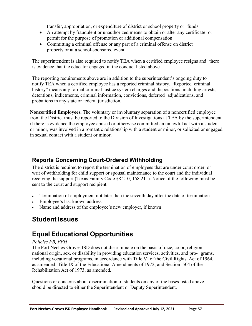transfer, appropriation, or expenditure of district or school property or funds

- An attempt by fraudulent or unauthorized means to obtain or alter any certificate or permit for the purpose of promotion or additional compensation
- Committing a criminal offense or any part of a criminal offense on district property or at a school-sponsored event

The superintendent is also required to notify TEA when a certified employee resigns and there is evidence that the educator engaged in the conduct listed above.

The reporting requirements above are in addition to the superintendent's ongoing duty to notify TEA when a certified employee has a reported criminal history. "Reported criminal history" means any formal criminal justice system charges and dispositions including arrests, detentions, indictments, criminal information, convictions, deferred adjudications, and probations in any state or federal jurisdiction.

**Noncertified Employees.** The voluntary or involuntary separation of a noncertified employee from the District must be reported to the Division of Investigations at TEA by the superintendent if there is evidence the employee abused or otherwise committed an unlawful act with a student or minor, was involved in a romantic relationship with a student or minor, or solicited or engaged in sexual contact with a student or minor.

### <span id="page-56-0"></span>**Reports Concerning Court-Ordered Withholding**

The district is required to report the termination of employees that are under court order or writ of withholding for child support or spousal maintenance to the court and the individual receiving the support (Texas Family Code §8.210, 158.211). Notice of the following must be sent to the court and support recipient:

- Termination of employment not later than the seventh day after the date of termination
- Employee's last known address
- Name and address of the employee's new employer, if known

# <span id="page-56-1"></span>**Student Issues**

# <span id="page-56-2"></span>**Equal Educational Opportunities**

#### *Policies FB, FFH*

The Port Neches-Groves ISD does not discriminate on the basis of race, color, religion, national origin, sex, or disability in providing education services, activities, and pro- grams, including vocational programs, in accordance with Title VI of the Civil Rights Act of 1964, as amended; Title IX of the Educational Amendments of 1972; and Section 504 of the Rehabilitation Act of 1973, as amended.

Questions or concerns about discrimination of students on any of the bases listed above should be directed to either the Superintendent or Deputy Superintendent.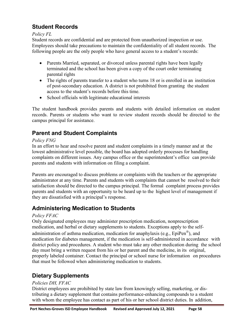# <span id="page-57-0"></span>**Student Records**

#### *Policy FL*

Student records are confidential and are protected from unauthorized inspection or use. Employees should take precautions to maintain the confidentiality of all student records. The following people are the only people who have general access to a student's records:

- Parents Married, separated, or divorced unless parental rights have been legally terminated and the school has been given a copy of the court order terminating parental rights
- The rights of parents transfer to a student who turns 18 or is enrolled in an institution of post-secondary education. A district is not prohibited from granting the student access to the student's records before this time.
- School officials with legitimate educational interests

The student handbook provides parents and students with detailed information on student records. Parents or students who want to review student records should be directed to the campus principal for assistance.

# <span id="page-57-1"></span>**Parent and Student Complaints**

#### *Policy FNG*

In an effort to hear and resolve parent and student complaints in a timely manner and at the lowest administrative level possible, the board has adopted orderly processes for handling complaints on different issues. Any campus office or the superintendent's office can provide parents and students with information on filing a complaint.

Parents are encouraged to discuss problems or complaints with the teachers or the appropriate administrator at any time. Parents and students with complaints that cannot be resolved to their satisfaction should be directed to the campus principal. The formal complaint process provides parents and students with an opportunity to be heard up to the highest level of management if they are dissatisfied with a principal's response.

# <span id="page-57-2"></span>**Administering Medication to Students**

#### *Policy FFAC*

Only designated employees may administer prescription medication, nonprescription medication, and herbal or dietary supplements to students. Exceptions apply to the self-

administration of asthma medication, medication for anaphylaxis (e.g.,  $EpiPer^{\circledast}$ ), and medication for diabetes management, if the medication is self-administered in accordance with district policy and procedures. A student who must take any other medication during the school day must bring a written request from his or her parent and the medicine, in its original, properly labeled container. Contact the principal or school nurse for information on procedures that must be followed when administering medication to students.

# <span id="page-57-3"></span>**Dietary Supplements**

#### *Policies DH, FFAC*

District employees are prohibited by state law from knowingly selling, marketing, or distributing a dietary supplement that contains performance-enhancing compounds to a student with whom the employee has contact as part of his or her school district duties. In addition,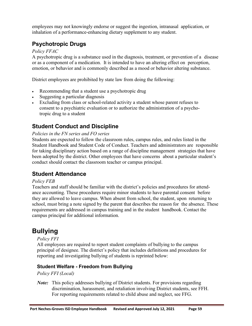employees may not knowingly endorse or suggest the ingestion, intranasal application, or inhalation of a performance-enhancing dietary supplement to any student.

### <span id="page-58-0"></span>**Psychotropic Drugs**

#### *Policy FFAC*

A psychotropic drug is a substance used in the diagnosis, treatment, or prevention of a disease or as a component of a medication. It is intended to have an altering effect on perception, emotion, or behavior and is commonly described as a mood or behavior altering substance.

District employees are prohibited by state law from doing the following:

- Recommending that a student use a psychotropic drug
- Suggesting a particular diagnosis
- Excluding from class or school-related activity a student whose parent refuses to consent to a psychiatric evaluation or to authorize the administration of a psychotropic drug to a student

### <span id="page-58-1"></span>**Student Conduct and Discipline**

#### *Policies in the FN series and FO series*

Students are expected to follow the classroom rules, campus rules, and rules listed in the Student Handbook and Student Code of Conduct. Teachers and administrators are responsible for taking disciplinary action based on a range of discipline management strategies that have been adopted by the district. Other employees that have concerns about a particular student's conduct should contact the classroom teacher or campus principal.

### <span id="page-58-2"></span>**Student Attendance**

#### *Policy FEB*

Teachers and staff should be familiar with the district's policies and procedures for attendance accounting. These procedures require minor students to have parental consent before they are allowed to leave campus. When absent from school, the student, upon returning to school, must bring a note signed by the parent that describes the reason for the absence. These requirements are addressed in campus training and in the student handbook. Contact the campus principal for additional information.

# **Bullying**

#### <span id="page-58-3"></span>*Policy FFI*

All employees are required to report student complaints of bullying to the campus principal of designee. The district's policy that includes definitions and procedures for reporting and investigating bullying of students is reprinted below:

#### **Student Welfare - Freedom from Bullying**

*Policy FFI (Local)*

*Note:* This policy addresses bullying of District students. For provisions regarding discrimination, harassment, and retaliation involving District students, see FFH. For reporting requirements related to child abuse and neglect, see FFG.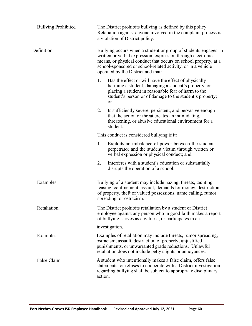| <b>Bullying Prohibited</b> | The District prohibits bullying as defined by this policy.<br>Retaliation against anyone involved in the complaint process is<br>a violation of District policy.                                                                                                                                       |
|----------------------------|--------------------------------------------------------------------------------------------------------------------------------------------------------------------------------------------------------------------------------------------------------------------------------------------------------|
| Definition                 | Bullying occurs when a student or group of students engages in<br>written or verbal expression, expression through electronic<br>means, or physical conduct that occurs on school property, at a<br>school-sponsored or school-related activity, or in a vehicle<br>operated by the District and that: |
|                            | 1.<br>Has the effect or will have the effect of physically<br>harming a student, damaging a student's property, or<br>placing a student in reasonable fear of harm to the<br>student's person or of damage to the student's property;<br>or                                                            |
|                            | 2.<br>Is sufficiently severe, persistent, and pervasive enough<br>that the action or threat creates an intimidating,<br>threatening, or abusive educational environment for a<br>student.                                                                                                              |
|                            | This conduct is considered bullying if it:                                                                                                                                                                                                                                                             |
|                            | 1.<br>Exploits an imbalance of power between the student<br>perpetrator and the student victim through written or<br>verbal expression or physical conduct; and                                                                                                                                        |
|                            | 2.<br>Interferes with a student's education or substantially<br>disrupts the operation of a school.                                                                                                                                                                                                    |
| Examples                   | Bullying of a student may include hazing, threats, taunting,<br>teasing, confinement, assault, demands for money, destruction<br>of property, theft of valued possessions, name calling, rumor<br>spreading, or ostracism.                                                                             |
| Retaliation                | The District prohibits retaliation by a student or District<br>employee against any person who in good faith makes a report<br>of bullying, serves as a witness, or participates in an                                                                                                                 |
|                            | investigation.                                                                                                                                                                                                                                                                                         |
| Examples                   | Examples of retaliation may include threats, rumor spreading,<br>ostracism, assault, destruction of property, unjustified<br>punishments, or unwarranted grade reductions. Unlawful<br>retaliation does not include petty slights or annoyances.                                                       |
| False Claim                | A student who intentionally makes a false claim, offers false<br>statements, or refuses to cooperate with a District investigation<br>regarding bullying shall be subject to appropriate disciplinary<br>action.                                                                                       |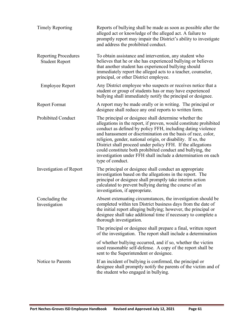| <b>Timely Reporting</b>                              | Reports of bullying shall be made as soon as possible after the<br>alleged act or knowledge of the alleged act. A failure to<br>promptly report may impair the District's ability to investigate<br>and address the prohibited conduct.                                                                                                                                                                                                                                                                                                      |
|------------------------------------------------------|----------------------------------------------------------------------------------------------------------------------------------------------------------------------------------------------------------------------------------------------------------------------------------------------------------------------------------------------------------------------------------------------------------------------------------------------------------------------------------------------------------------------------------------------|
| <b>Reporting Procedures</b><br><b>Student Report</b> | To obtain assistance and intervention, any student who<br>believes that he or she has experienced bullying or believes<br>that another student has experienced bullying should<br>immediately report the alleged acts to a teacher, counselor,<br>principal, or other District employee.                                                                                                                                                                                                                                                     |
| <b>Employee Report</b>                               | Any District employee who suspects or receives notice that a<br>student or group of students has or may have experienced<br>bullying shall immediately notify the principal or designee.                                                                                                                                                                                                                                                                                                                                                     |
| <b>Report Format</b>                                 | A report may be made orally or in writing. The principal or<br>designee shall reduce any oral reports to written form.                                                                                                                                                                                                                                                                                                                                                                                                                       |
| <b>Prohibited Conduct</b>                            | The principal or designee shall determine whether the<br>allegations in the report, if proven, would constitute prohibited<br>conduct as defined by policy FFH, including dating violence<br>and harassment or discrimination on the basis of race, color,<br>religion, gender, national origin, or disability. If so, the<br>District shall proceed under policy FFH. If the allegations<br>could constitute both prohibited conduct and bullying, the<br>investigation under FFH shall include a determination on each<br>type of conduct. |
| Investigation of Report                              | The principal or designee shall conduct an appropriate<br>investigation based on the allegations in the report. The<br>principal or designee shall promptly take interim action<br>calculated to prevent bullying during the course of an<br>investigation, if appropriate.                                                                                                                                                                                                                                                                  |
| Concluding the<br>Investigation                      | Absent extenuating circumstances, the investigation should be<br>completed within ten District business days from the date of<br>the initial report alleging bullying; however, the principal or<br>designee shall take additional time if necessary to complete a<br>thorough investigation.                                                                                                                                                                                                                                                |
|                                                      | The principal or designee shall prepare a final, written report<br>of the investigation. The report shall include a determination                                                                                                                                                                                                                                                                                                                                                                                                            |
|                                                      | of whether bullying occurred, and if so, whether the victim<br>used reasonable self-defense. A copy of the report shall be<br>sent to the Superintendent or designee.                                                                                                                                                                                                                                                                                                                                                                        |
| Notice to Parents                                    | If an incident of bullying is confirmed, the principal or<br>designee shall promptly notify the parents of the victim and of<br>the student who engaged in bullying.                                                                                                                                                                                                                                                                                                                                                                         |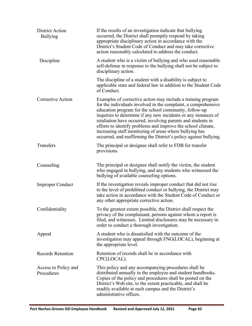| <b>District Action</b><br><b>Bullying</b> | If the results of an investigation indicate that bullying<br>occurred, the District shall promptly respond by taking<br>appropriate disciplinary action in accordance with the<br>District's Student Code of Conduct and may take corrective<br>action reasonably calculated to address the conduct.                                                                                                                                                                                                                       |
|-------------------------------------------|----------------------------------------------------------------------------------------------------------------------------------------------------------------------------------------------------------------------------------------------------------------------------------------------------------------------------------------------------------------------------------------------------------------------------------------------------------------------------------------------------------------------------|
| Discipline                                | A student who is a victim of bullying and who used reasonable<br>self-defense in response to the bullying shall not be subject to<br>disciplinary action.                                                                                                                                                                                                                                                                                                                                                                  |
|                                           | The discipline of a student with a disability is subject to<br>applicable state and federal law in addition to the Student Code<br>of Conduct.                                                                                                                                                                                                                                                                                                                                                                             |
| Corrective Action                         | Examples of corrective action may include a training program<br>for the individuals involved in the complaint, a comprehensive<br>education program for the school community, follow-up<br>inquiries to determine if any new incidents or any instances of<br>retaliation have occurred, involving parents and students in<br>efforts to identify problems and improve the school climate,<br>increasing staff monitoring of areas where bullying has<br>occurred, and reaffirming the District's policy against bullying. |
| Transfers                                 | The principal or designee shall refer to FDB for transfer<br>provisions.                                                                                                                                                                                                                                                                                                                                                                                                                                                   |
| Counseling                                | The principal or designee shall notify the victim, the student<br>who engaged in bullying, and any students who witnessed the<br>bullying of available counseling options.                                                                                                                                                                                                                                                                                                                                                 |
| <b>Improper Conduct</b>                   | If the investigation reveals improper conduct that did not rise<br>to the level of prohibited conduct or bullying, the District may<br>take action in accordance with the Student Code of Conduct or<br>any other appropriate corrective action.                                                                                                                                                                                                                                                                           |
| Confidentiality                           | To the greatest extent possible, the District shall respect the<br>privacy of the complainant, persons against whom a report is<br>filed, and witnesses. Limited disclosures may be necessary in<br>order to conduct a thorough investigation.                                                                                                                                                                                                                                                                             |
| Appeal                                    | A student who is dissatisfied with the outcome of the<br>investigation may appeal through FNG(LOCAL), beginning at<br>the appropriate level.                                                                                                                                                                                                                                                                                                                                                                               |
| <b>Records Retention</b>                  | Retention of records shall be in accordance with<br>CPC(LOCAL).                                                                                                                                                                                                                                                                                                                                                                                                                                                            |
| Access to Policy and<br>Procedures        | This policy and any accompanying procedures shall be<br>distributed annually in the employee and student handbooks.<br>Copies of the policy and procedures shall be posted on the<br>District's Web site, to the extent practicable, and shall be<br>readily available at each campus and the District's<br>administrative offices.                                                                                                                                                                                        |